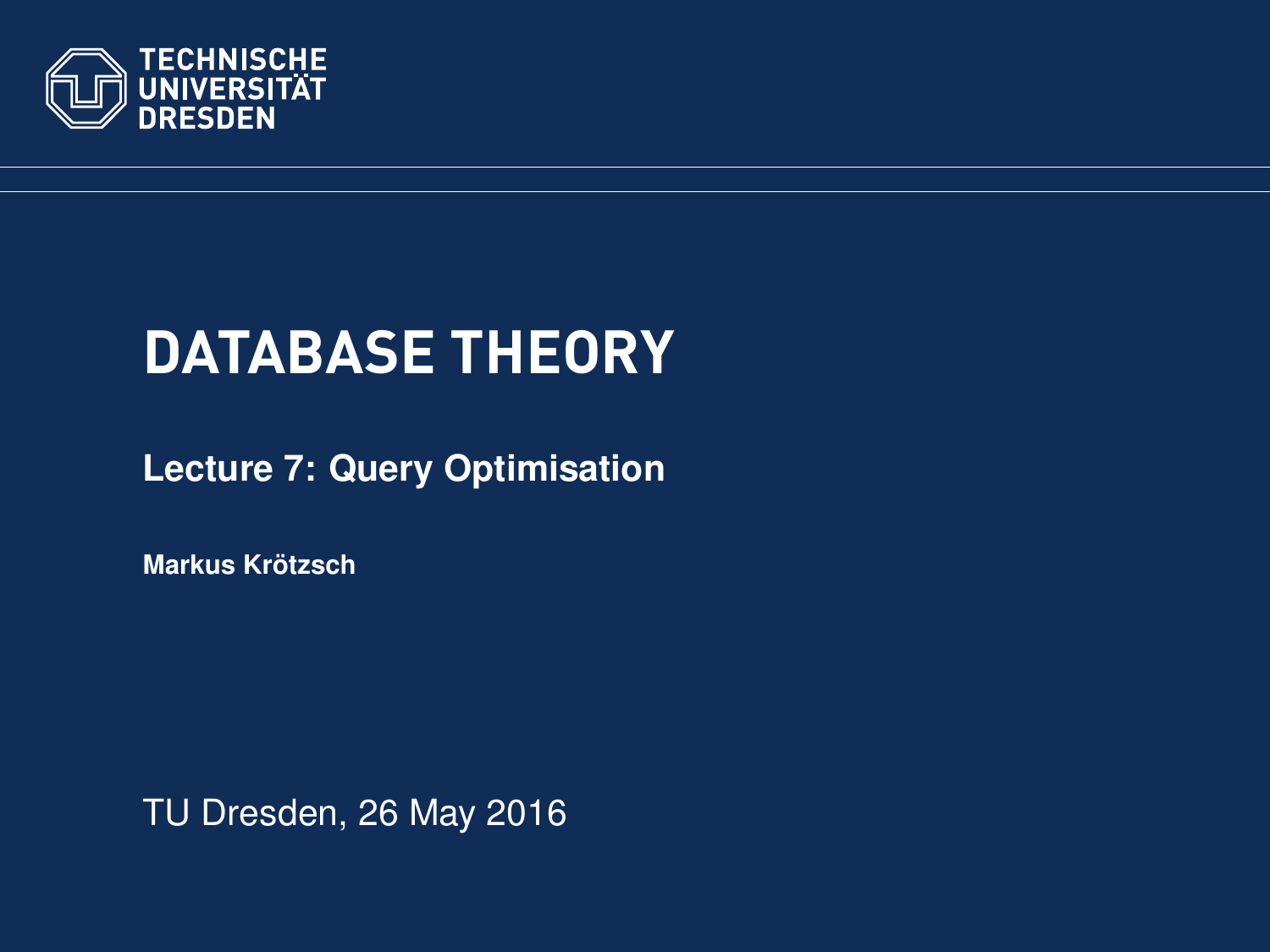<span id="page-0-0"></span>

# **DATABASE THEORY**

**[Lecture 7: Query Optimisation](https://ddll.inf.tu-dresden.de/web/Database_Theory_%28SS2016%29/en)**

**[Markus Krotzsch](http://korrekt.org/) ¨**

TU Dresden, 26 May 2016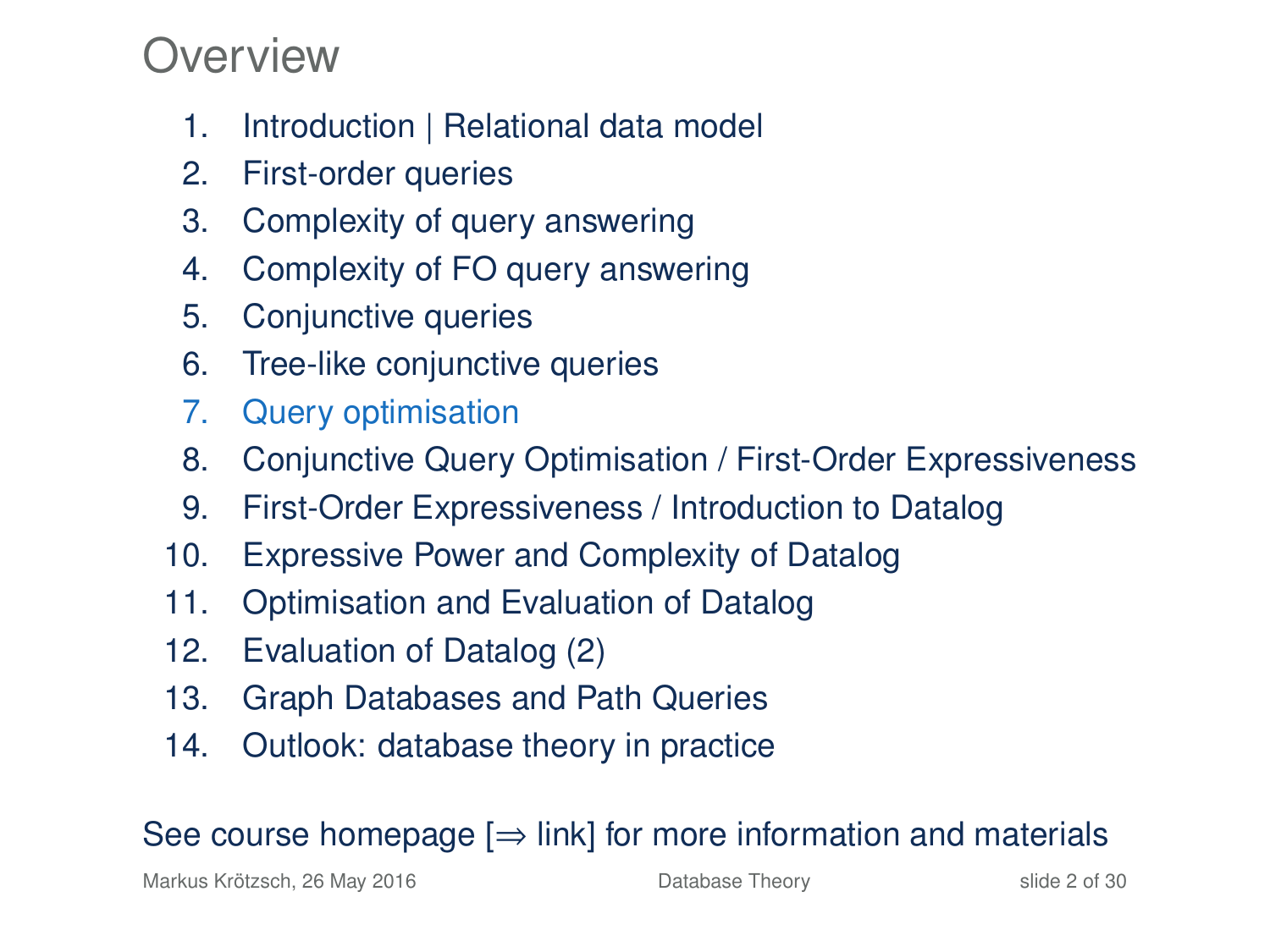### Overview

- 1. Introduction | Relational data model
- 2. First-order queries
- 3. Complexity of query answering
- 4. Complexity of FO query answering
- 5. Conjunctive queries
- 6. Tree-like conjunctive queries
- 7. Query optimisation
- 8. Conjunctive Query Optimisation / First-Order Expressiveness
- 9. First-Order Expressiveness / Introduction to Datalog
- 10. Expressive Power and Complexity of Datalog
- 11. Optimisation and Evaluation of Datalog
- 12. Evaluation of Datalog (2)
- 13. Graph Databases and Path Queries
- 14. Outlook: database theory in practice

#### See course homepage  $[\Rightarrow]$  link] for more information and materials

Markus Krötzsch, 26 May 2016 **[Database Theory](#page-0-0)** Slide 2 of 30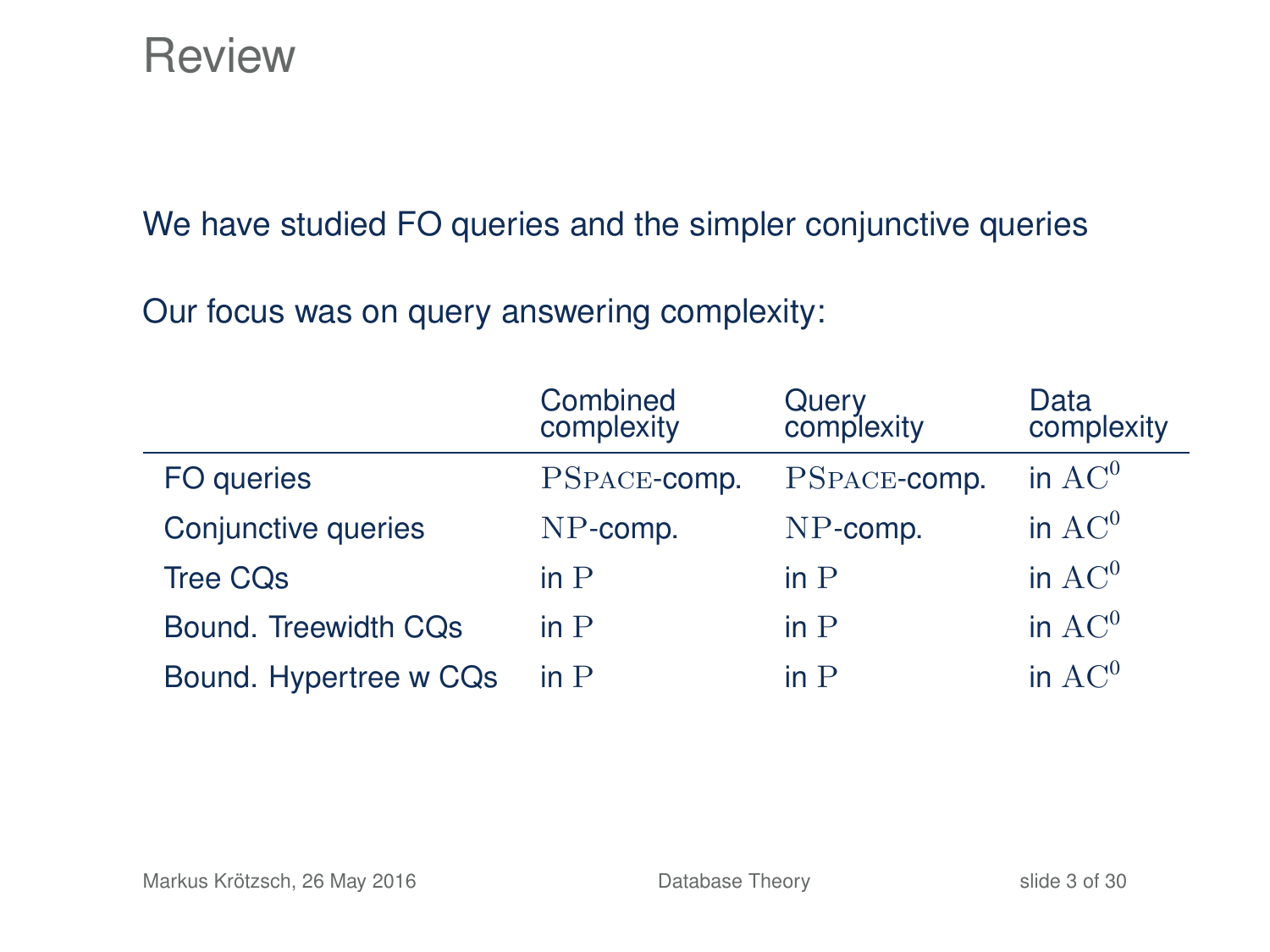### **Review**

We have studied FO queries and the simpler conjunctive queries

Our focus was on query answering complexity:

|                        | Combined<br>complexity | Query<br>complexity | Data<br>complexity |
|------------------------|------------------------|---------------------|--------------------|
| FO queries             | PSPACE-comp.           | PSPACE-comp.        | in $AC^0$          |
| Conjunctive queries    | $NP$ -comp.            | $NP$ -comp.         | in $AC^0$          |
| <b>Tree CQs</b>        | in P                   | in $P$              | in $AC^0$          |
| Bound. Treewidth CQs   | in P                   | in P                | in $AC^0$          |
| Bound. Hypertree w CQs | in $P$                 | in $P$              | in $AC^0$          |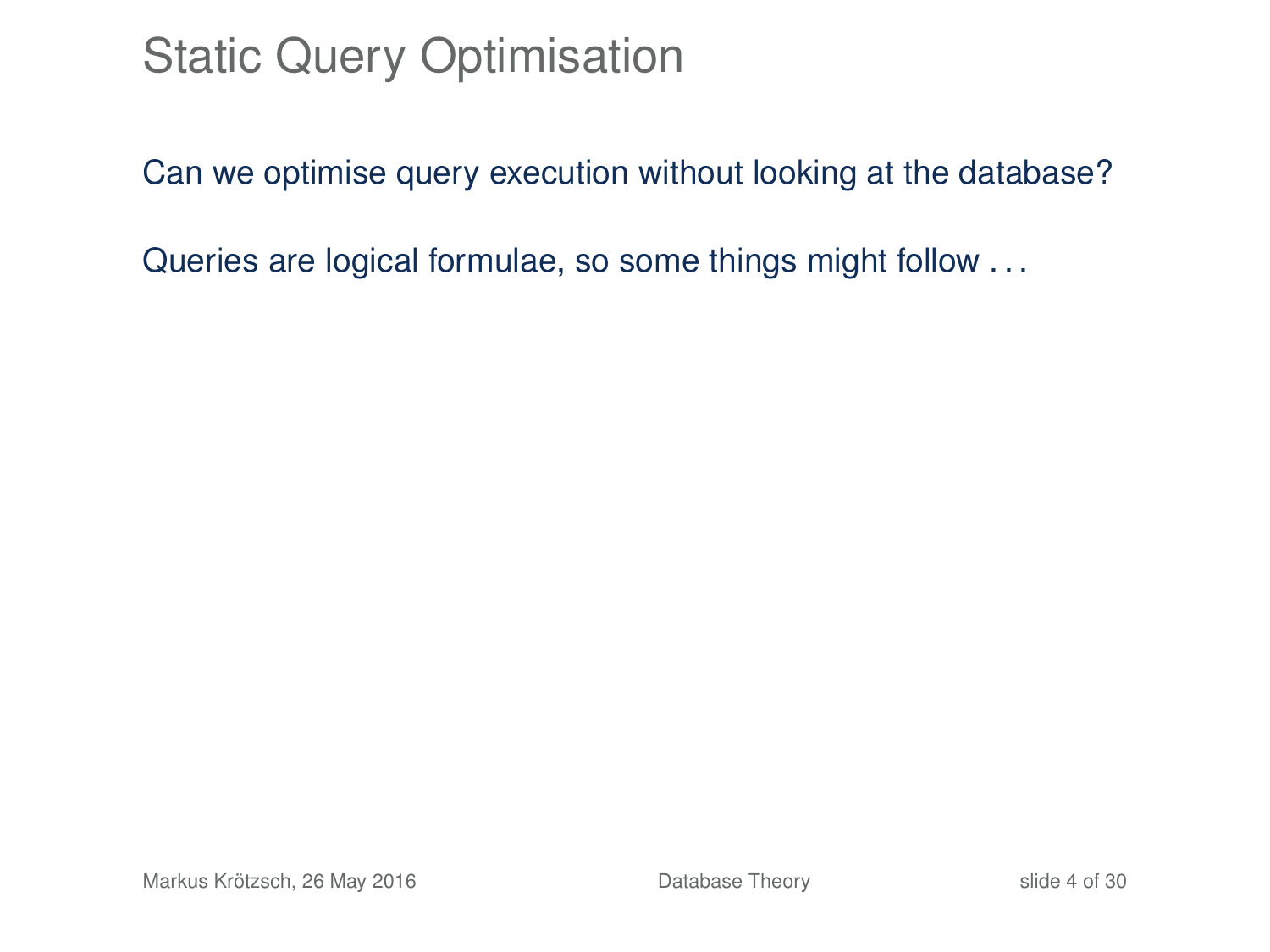### Static Query Optimisation

Can we optimise query execution without looking at the database?

Queries are logical formulae, so some things might follow . . .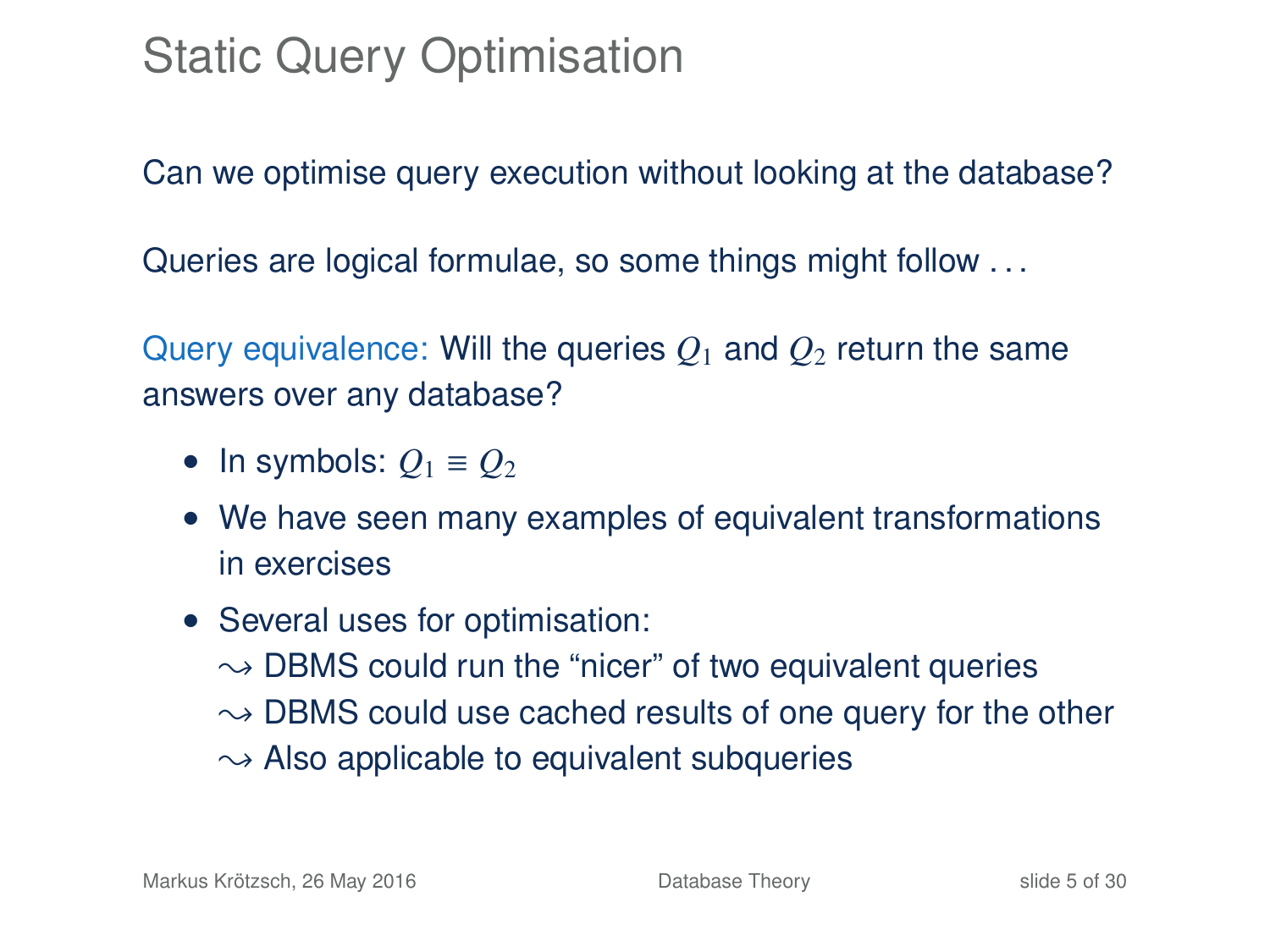### Static Query Optimisation

Can we optimise query execution without looking at the database?

Queries are logical formulae, so some things might follow . . .

Query equivalence: Will the queries  $Q_1$  and  $Q_2$  return the same answers over any database?

- In symbols:  $Q_1 \equiv Q_2$
- We have seen many examples of equivalent transformations in exercises
- Several uses for optimisation:  $\rightarrow$  DBMS could run the "nicer" of two equivalent queries  $\rightarrow$  DBMS could use cached results of one query for the other  $\rightarrow$  Also applicable to equivalent subqueries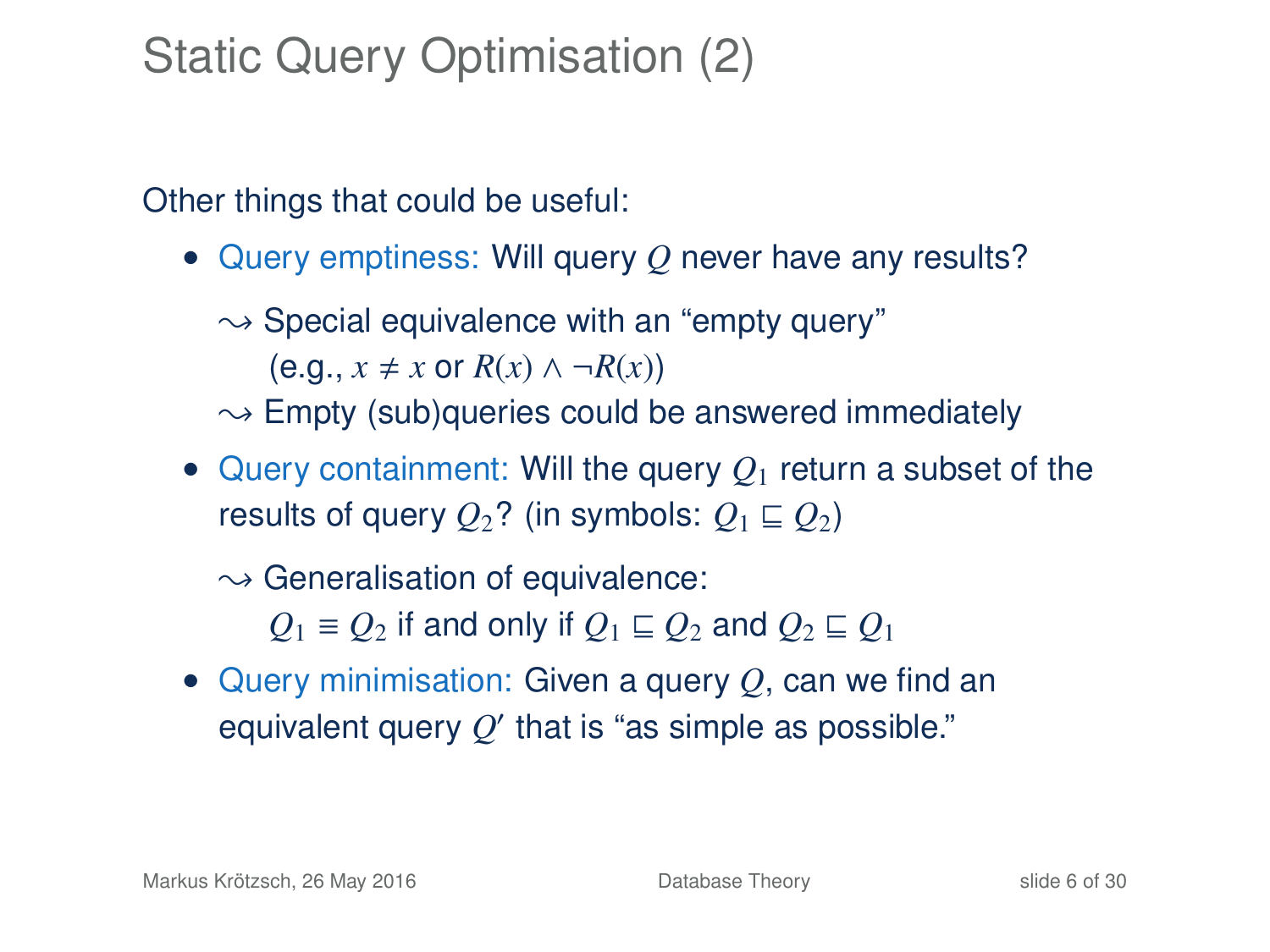## Static Query Optimisation (2)

Other things that could be useful:

- Query emptiness: Will query *Q* never have any results?
	- $\rightarrow$  Special equivalence with an "empty query"  $(e.g., x \neq x \text{ or } R(x) \land \neg R(x))$
	- $\sim$  Empty (sub)queries could be answered immediately
- Query containment: Will the query  $Q_1$  return a subset of the results of query  $Q_2$ ? (in symbols:  $Q_1 \sqsubseteq Q_2$ )

 $\rightarrow$  Generalisation of equivalence:

*Q*<sub>1</sub> ≡ *Q*<sub>2</sub> if and only if  $Q$ <sub>1</sub> ⊆ *Q*<sub>2</sub> and  $Q$ <sub>2</sub> ⊆  $Q$ <sub>1</sub>

• Query minimisation: Given a query *Q*, can we find an equivalent query  $Q'$  that is "as simple as possible."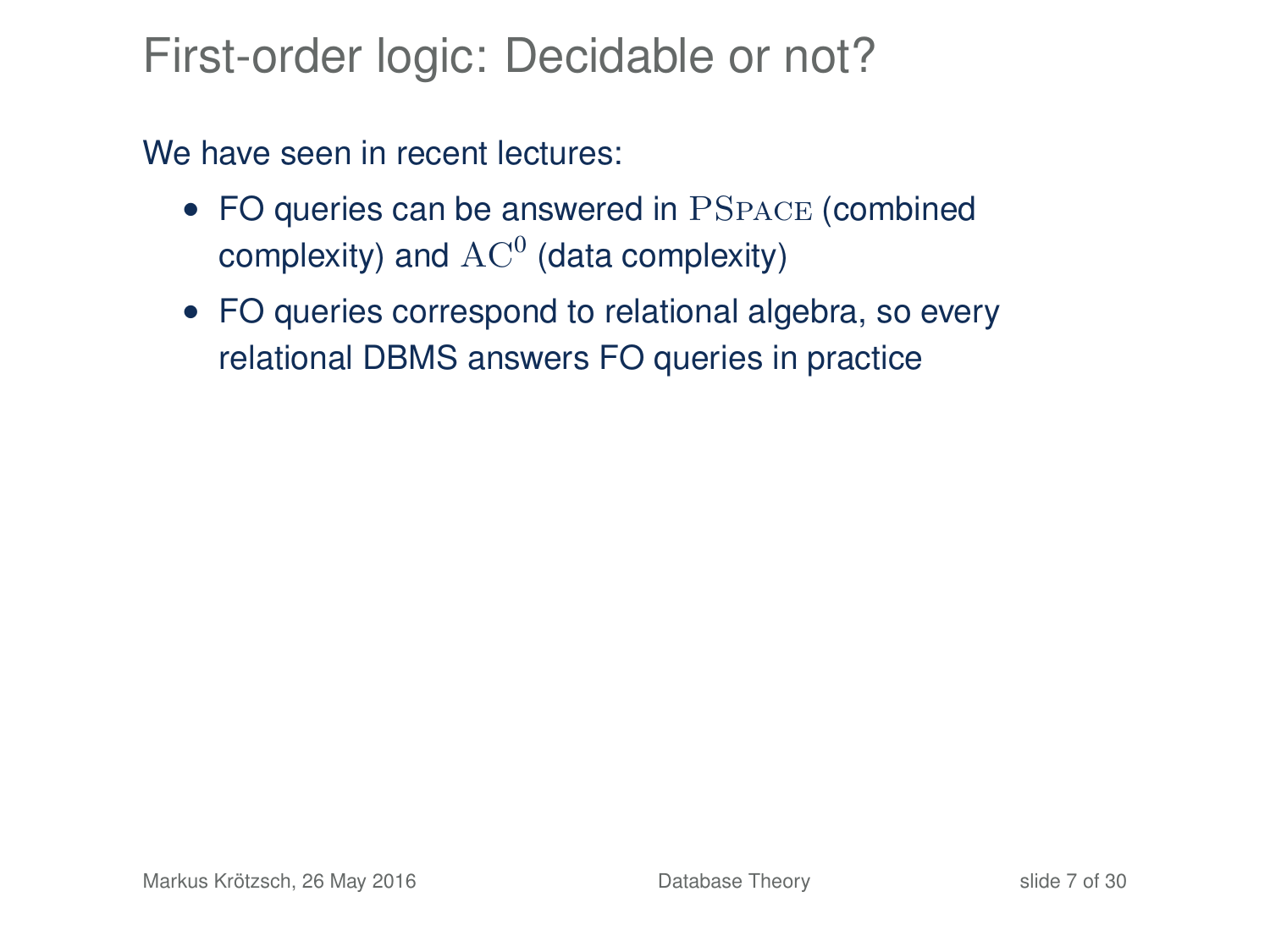### First-order logic: Decidable or not?

We have seen in recent lectures:

- FO queries can be answered in PSPACE (combined complexity) and  $\operatorname{AC}^0$  (data complexity)
- FO queries correspond to relational algebra, so every relational DBMS answers FO queries in practice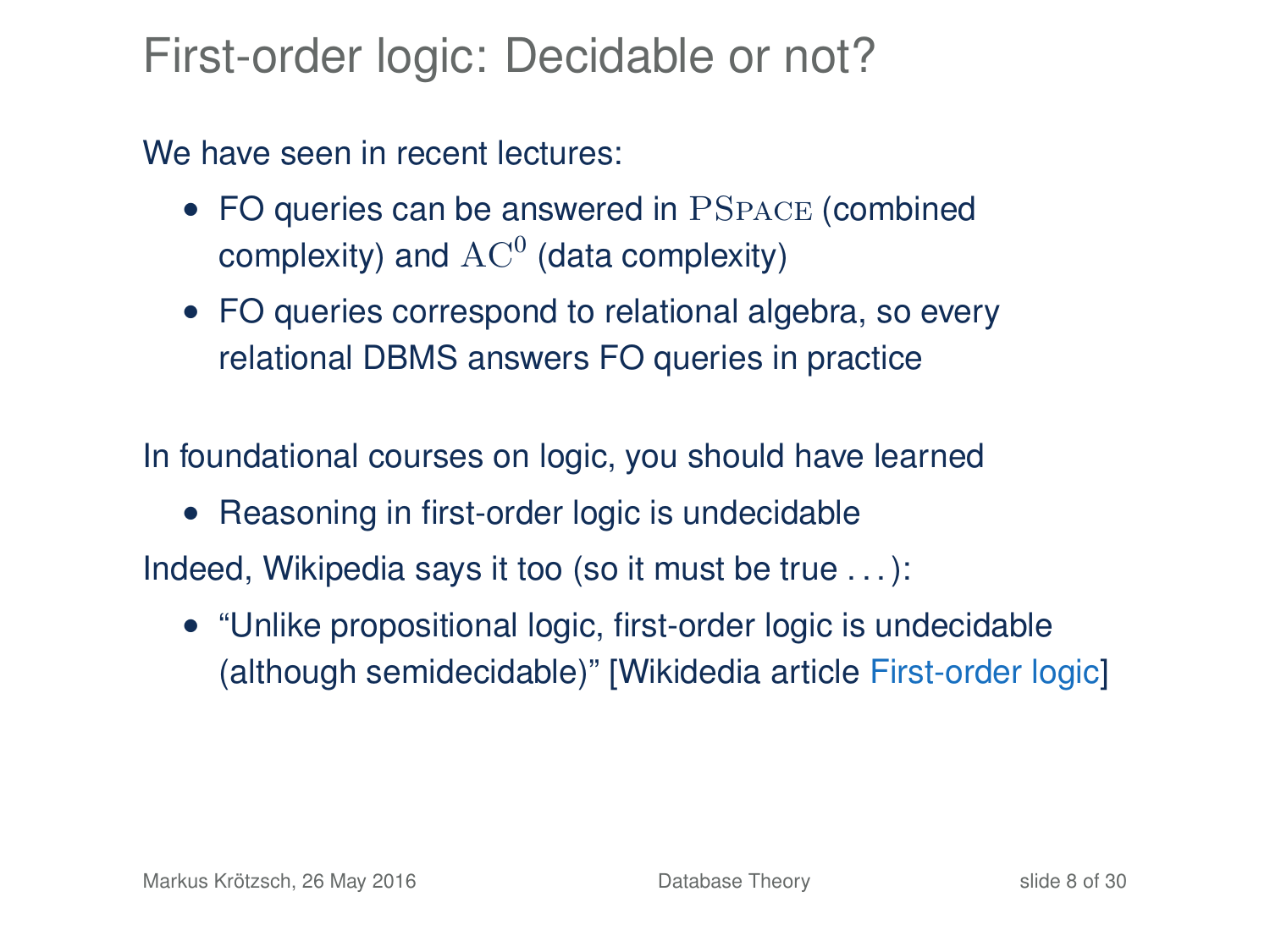### First-order logic: Decidable or not?

We have seen in recent lectures:

- FO queries can be answered in PSPACE (combined complexity) and  $\operatorname{AC}^0$  (data complexity)
- FO queries correspond to relational algebra, so every relational DBMS answers FO queries in practice

In foundational courses on logic, you should have learned

• Reasoning in first-order logic is undecidable

Indeed, Wikipedia says it too (so it must be true . . . ):

• "Unlike propositional logic, first-order logic is undecidable (although semidecidable)" [\[Wikidedia article](https://en.wikipedia.org/w/index.php?title=First-order_logic&oldid=663075836#Completeness_and_undecidability) First-order logic]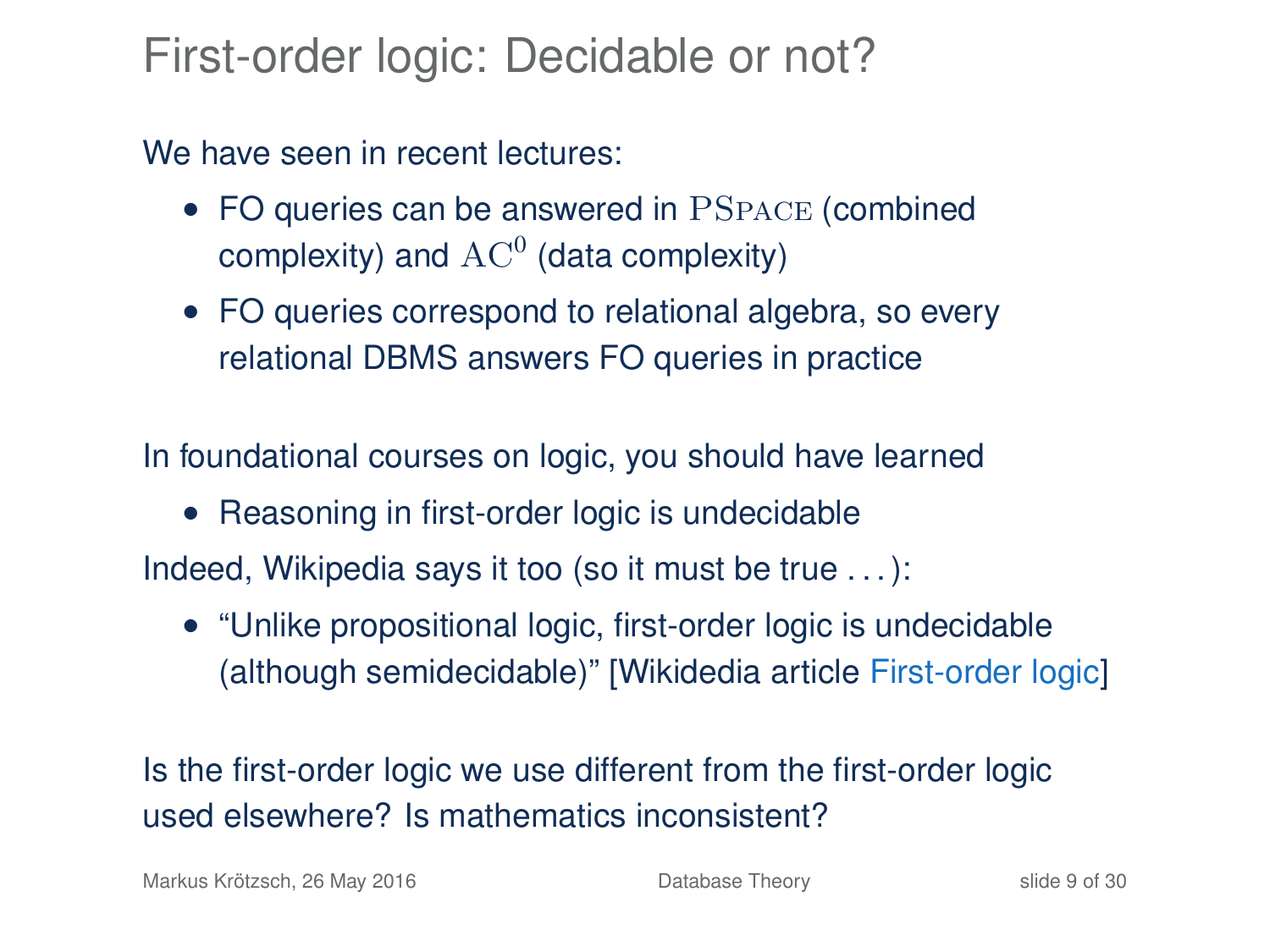### First-order logic: Decidable or not?

We have seen in recent lectures:

- FO queries can be answered in PSPACE (combined complexity) and  $\operatorname{AC}^0$  (data complexity)
- FO queries correspond to relational algebra, so every relational DBMS answers FO queries in practice

In foundational courses on logic, you should have learned

• Reasoning in first-order logic is undecidable

Indeed, Wikipedia says it too (so it must be true . . . ):

• "Unlike propositional logic, first-order logic is undecidable (although semidecidable)" [\[Wikidedia article](https://en.wikipedia.org/w/index.php?title=First-order_logic&oldid=663075836#Completeness_and_undecidability) First-order logic]

Is the first-order logic we use different from the first-order logic used elsewhere? Is mathematics inconsistent?

Markus Krötzsch, 26 May 2016 **[Database Theory](#page-0-0)** Database Theory slide 9 of 30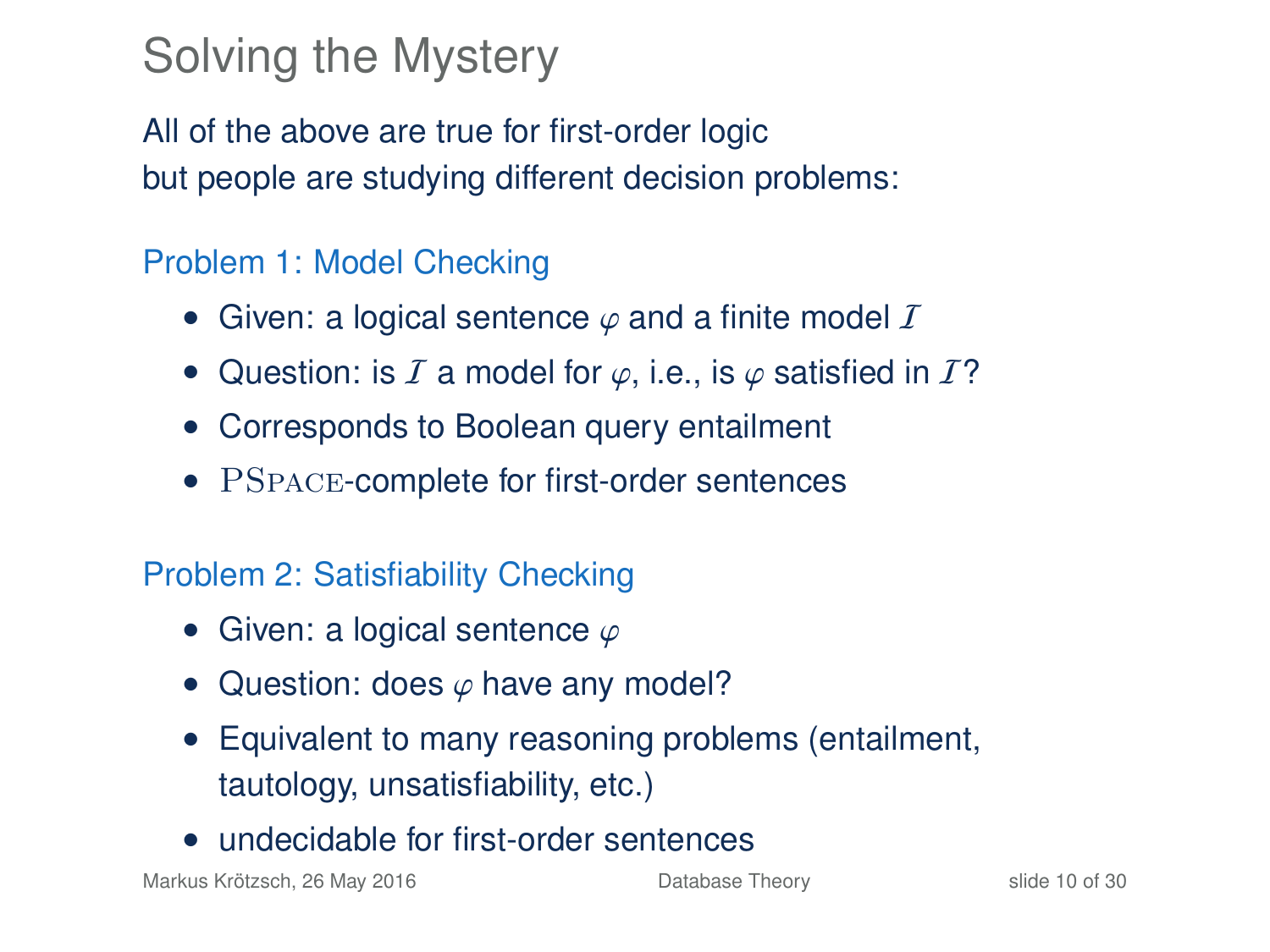# Solving the Mystery

All of the above are true for first-order logic but people are studying different decision problems:

#### Problem 1: Model Checking

- Given: a logical sentence  $\varphi$  and a finite model  $\mathcal I$
- Question: is I a model for  $\varphi$ , i.e., is  $\varphi$  satisfied in I?
- Corresponds to Boolean query entailment
- PSPACE-complete for first-order sentences

#### Problem 2: Satisfiability Checking

- Given: a logical sentence  $\varphi$
- Question: does  $\varphi$  have any model?
- Equivalent to many reasoning problems (entailment, tautology, unsatisfiability, etc.)
- undecidable for first-order sentences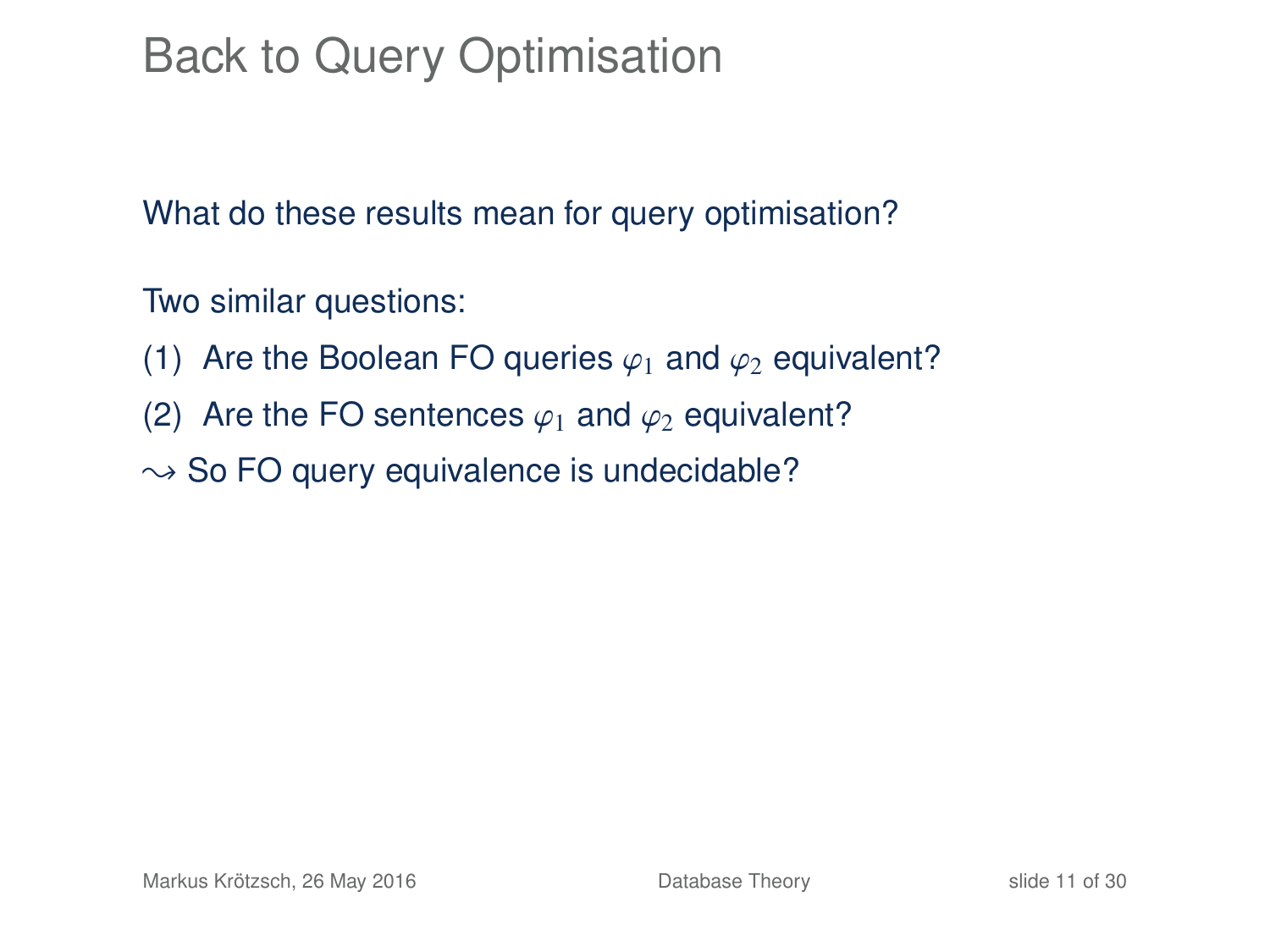# Back to Query Optimisation

What do these results mean for query optimisation?

Two similar questions:

- (1) Are the Boolean FO queries  $\varphi_1$  and  $\varphi_2$  equivalent?
- (2) Are the FO sentences  $\varphi_1$  and  $\varphi_2$  equivalent?
- $\rightarrow$  So FO query equivalence is undecidable?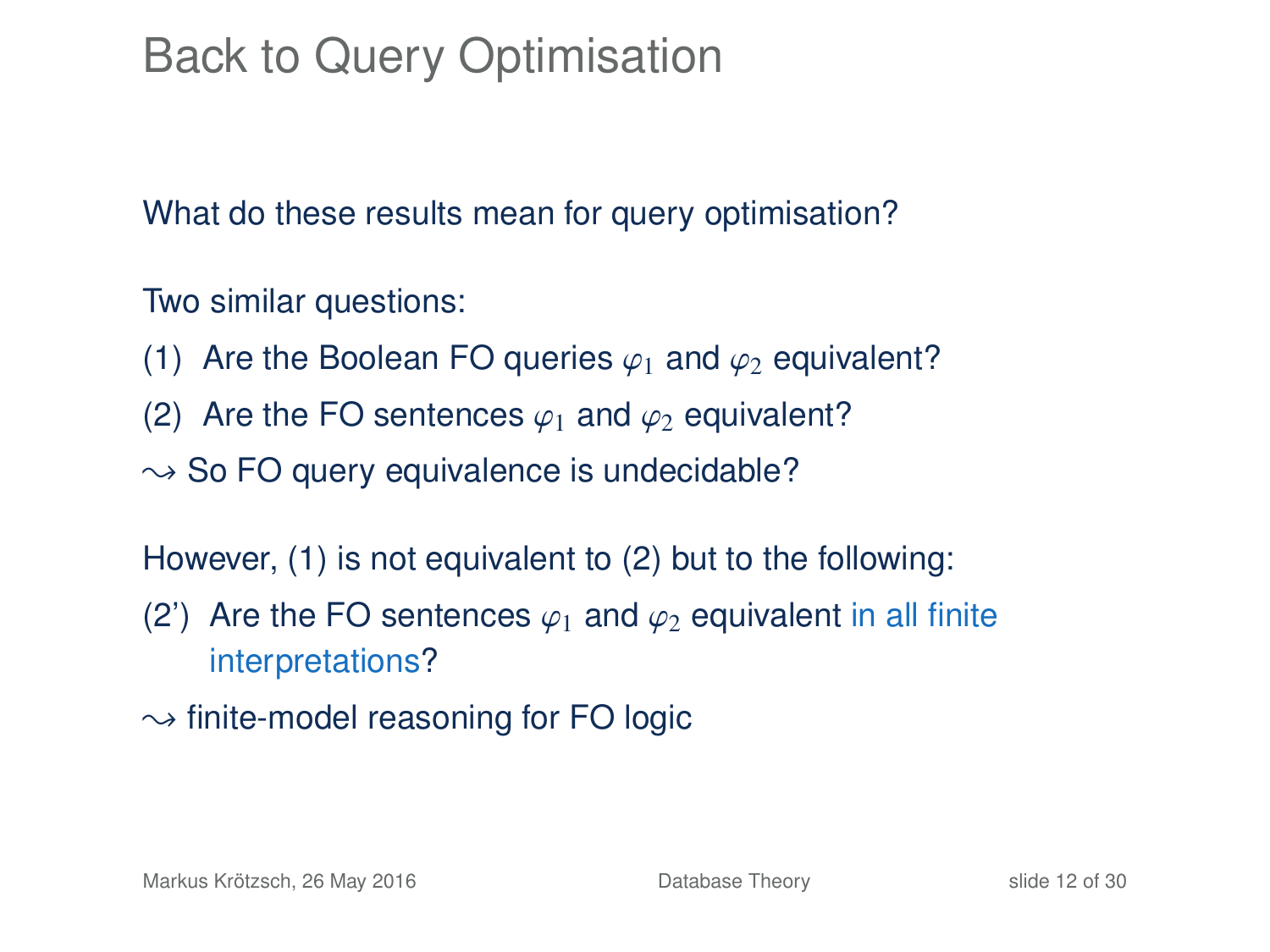# Back to Query Optimisation

What do these results mean for query optimisation?

Two similar questions:

- (1) Are the Boolean FO queries  $\varphi_1$  and  $\varphi_2$  equivalent?
- (2) Are the FO sentences  $\varphi_1$  and  $\varphi_2$  equivalent?
- $\rightarrow$  So FO query equivalence is undecidable?

However, (1) is not equivalent to (2) but to the following:

- (2) Are the FO sentences  $\varphi_1$  and  $\varphi_2$  equivalent in all finite interpretations?
- $\rightarrow$  finite-model reasoning for FO logic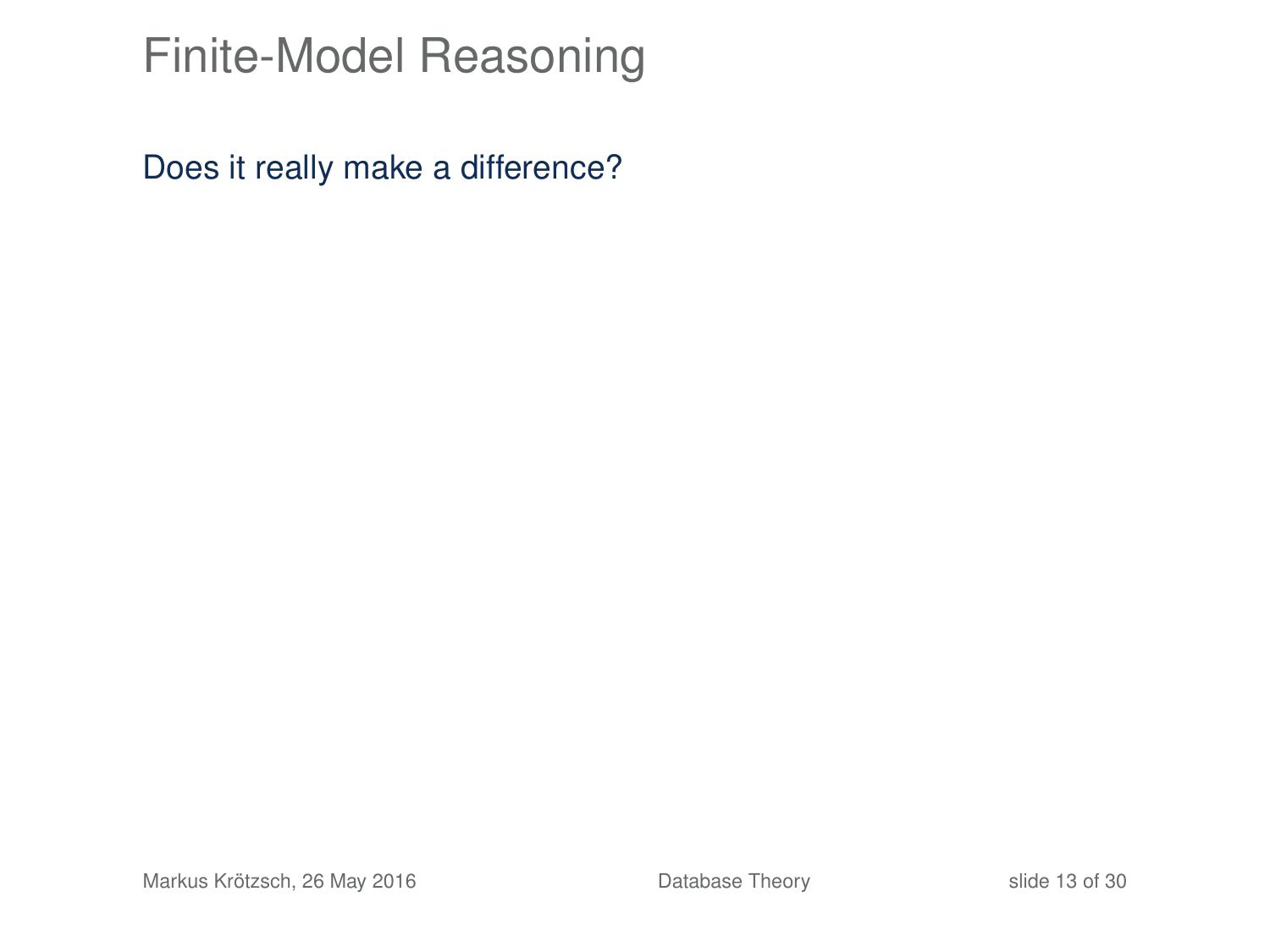# Finite-Model Reasoning

Does it really make a difference?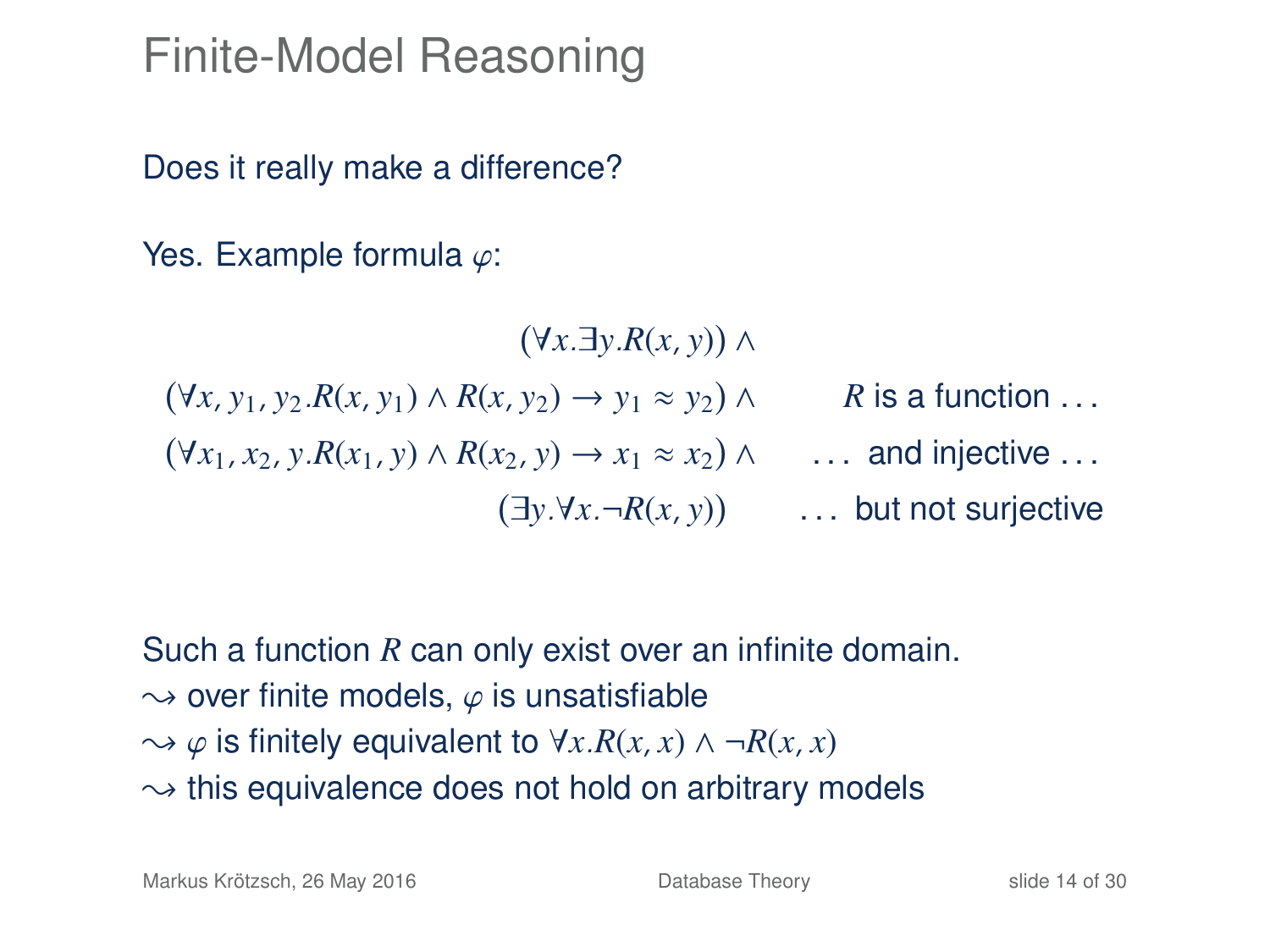### Finite-Model Reasoning

Does it really make a difference?

Yes. Example formula  $\varphi$ :

 ∀*x*.∃*y*.*R*(*x*, *y*) ∧ ∀*x*, *y*1, *y*2.*R*(*x*, *y*1) ∧ *R*(*x*, *y*2) → *y*<sup>1</sup> ≈ *y*<sup>2</sup> ∧ *R* is a function . . .  $(\forall x_1, x_2, y.R(x_1, y) \land R(x_2, y) \rightarrow x_1 \approx x_2) \land \dots$  and injective ... ∃*y*.∀*x*.¬*R*(*x*, *y*) . . . but not surjective

Such a function *R* can only exist over an infinite domain.  $\rightarrow$  over finite models,  $\varphi$  is unsatisfiable  $\rightarrow \varphi$  is finitely equivalent to  $\forall x.R(x,x) \land \neg R(x,x)$  $\rightarrow$  this equivalence does not hold on arbitrary models

Markus Krötzsch, 26 May 2016 **[Database Theory](#page-0-0)** Slide 14 of 30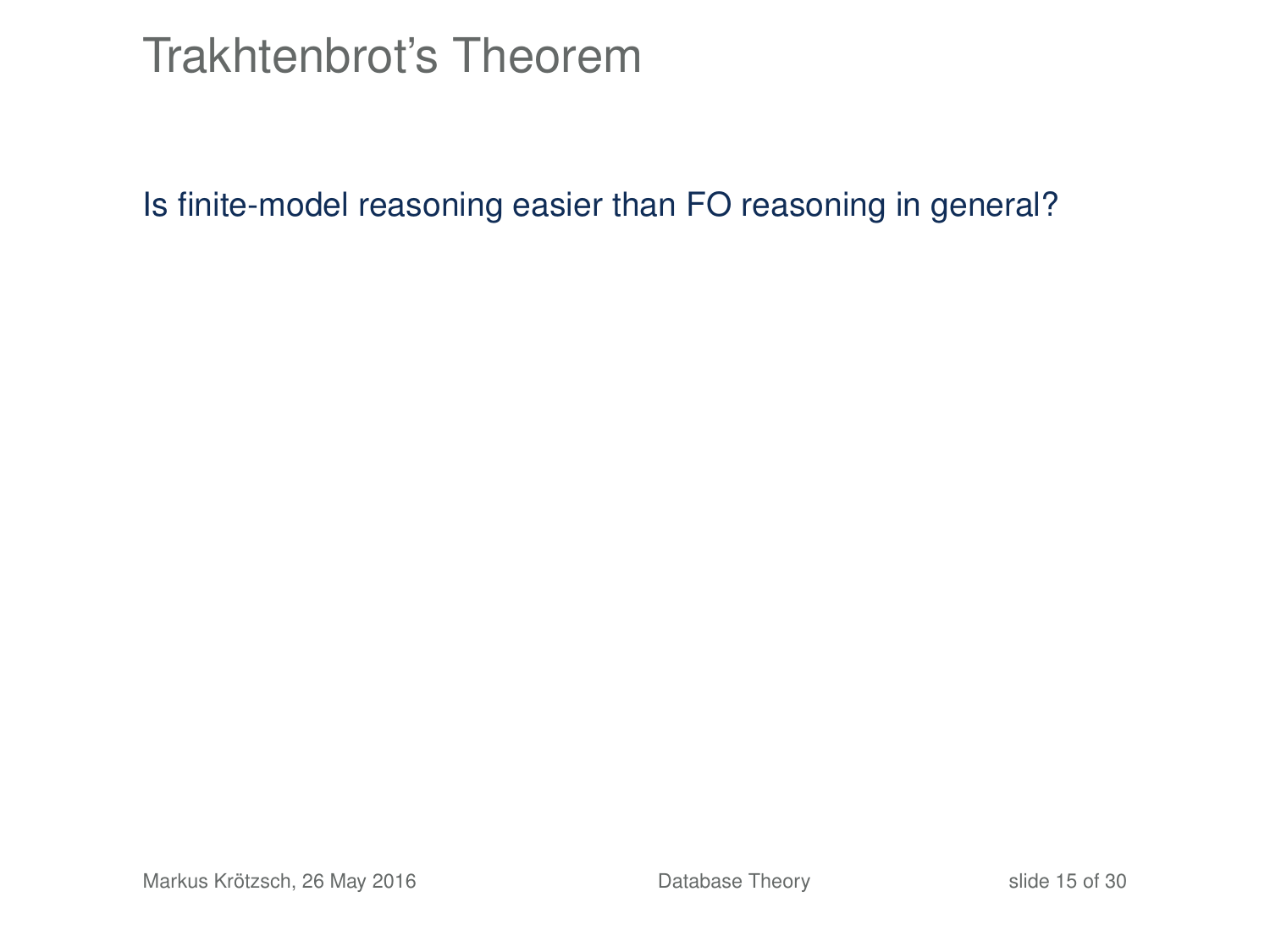### Trakhtenbrot's Theorem

Is finite-model reasoning easier than FO reasoning in general?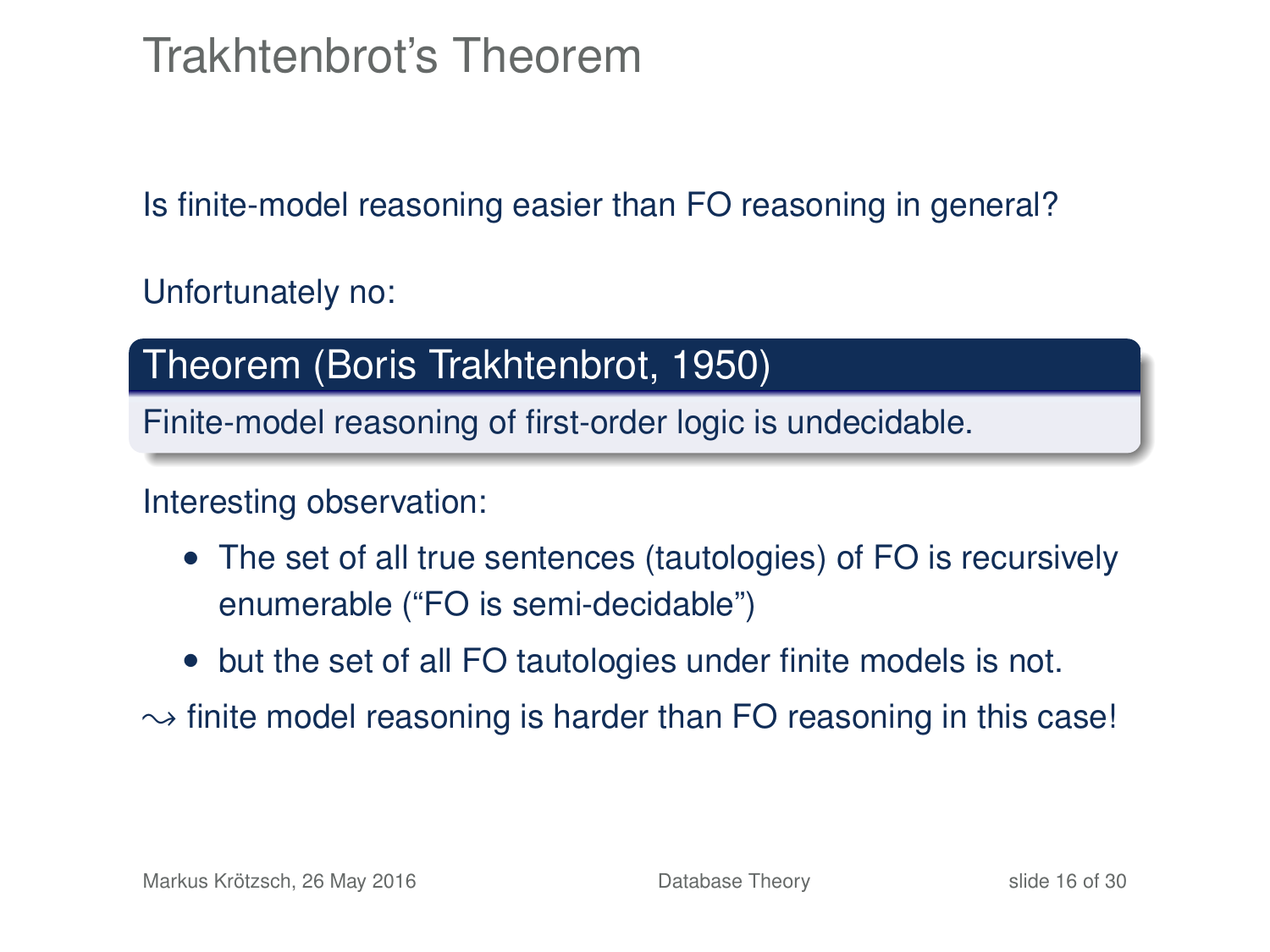# Trakhtenbrot's Theorem

Is finite-model reasoning easier than FO reasoning in general?

Unfortunately no:

#### Theorem (Boris Trakhtenbrot, 1950)

Finite-model reasoning of first-order logic is undecidable.

#### Interesting observation:

- The set of all true sentences (tautologies) of FO is recursively enumerable ("FO is semi-decidable")
- but the set of all FO tautologies under finite models is not.
- $\rightarrow$  finite model reasoning is harder than FO reasoning in this case!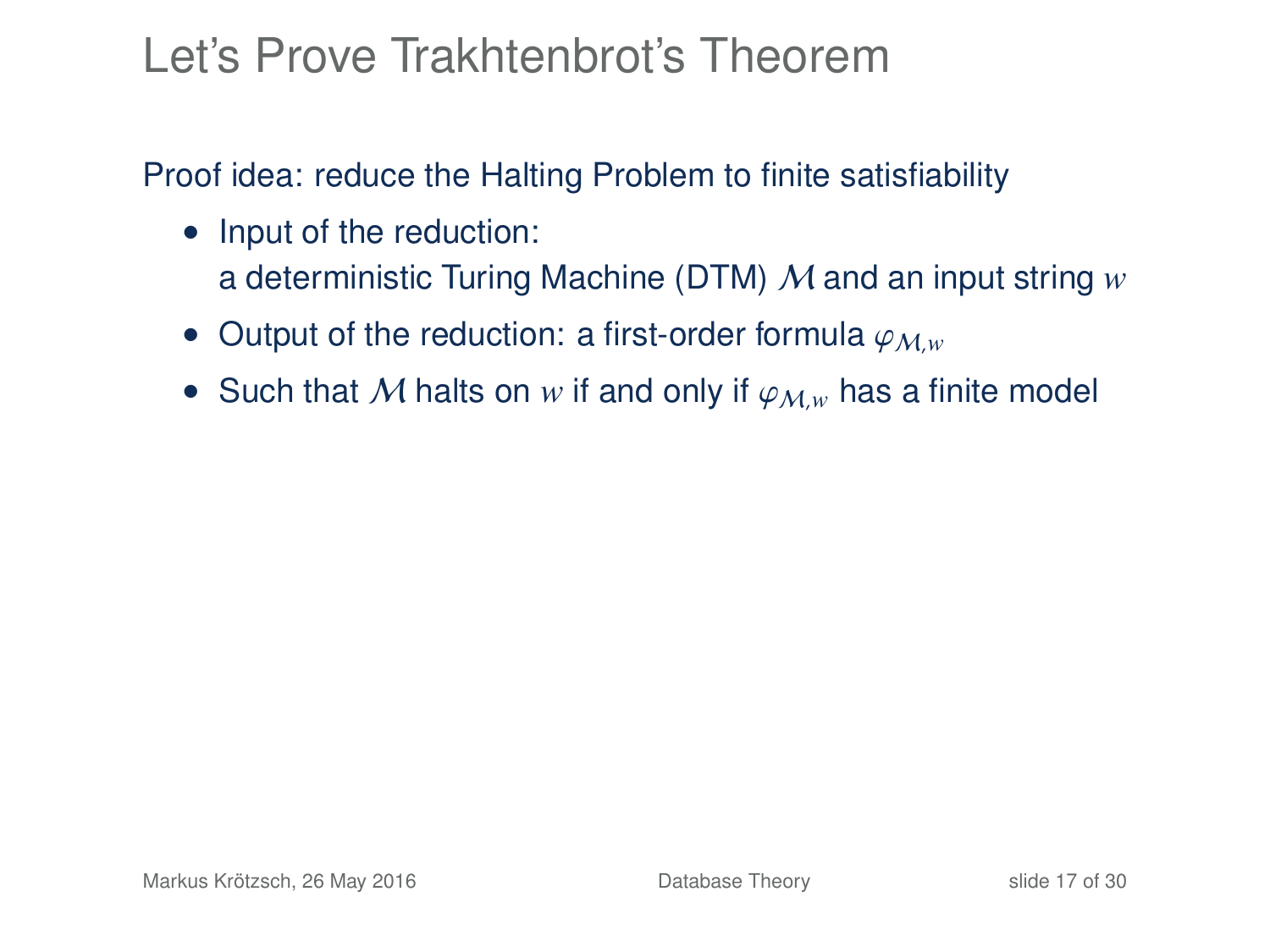### Let's Prove Trakhtenbrot's Theorem

Proof idea: reduce the Halting Problem to finite satisfiability

- Input of the reduction: a deterministic Turing Machine (DTM) M and an input string *w*
- Output of the reduction: a first-order formula  $\varphi_{M,w}$
- Such that M halts on w if and only if  $\varphi_{M,w}$  has a finite model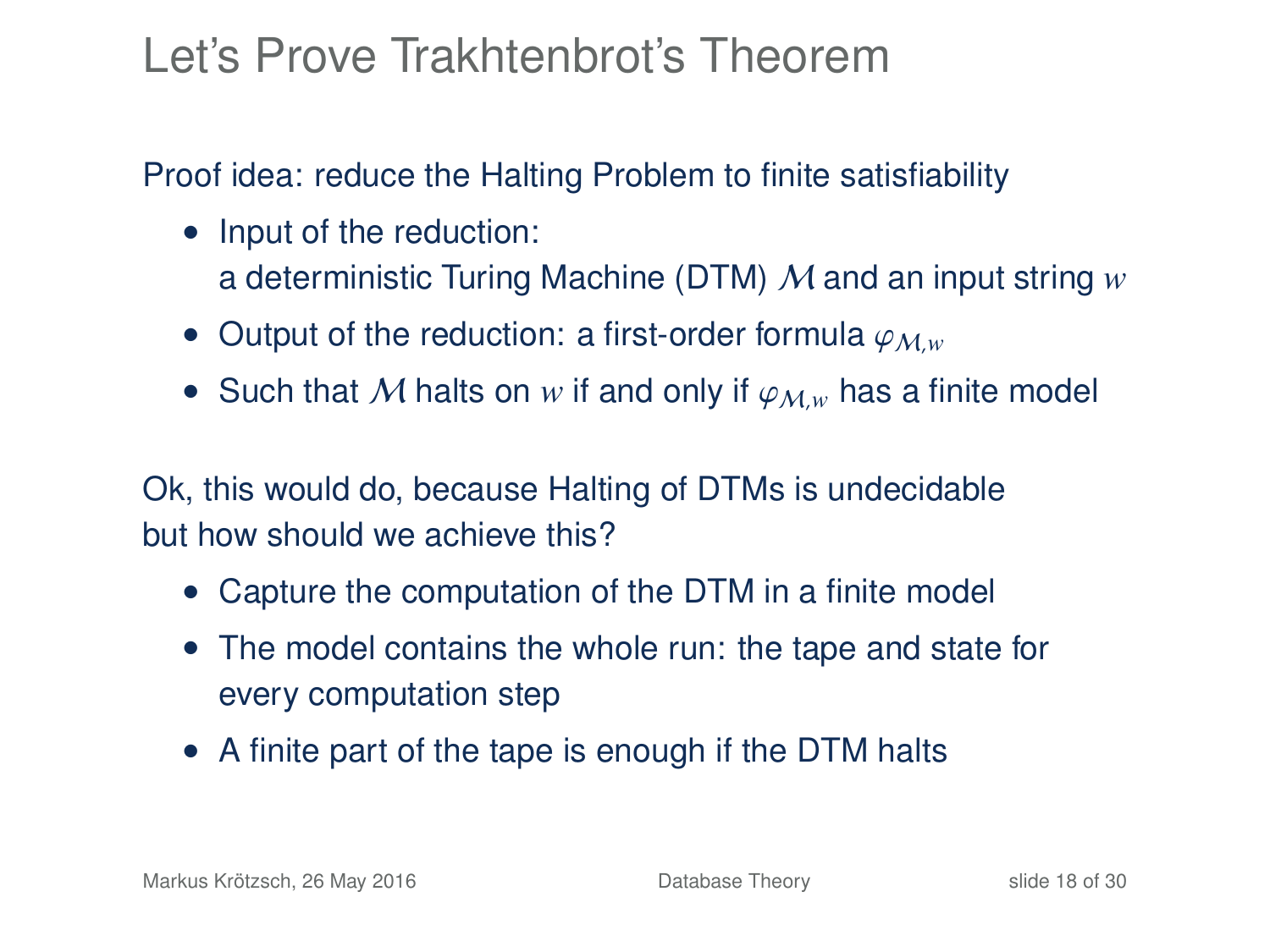### Let's Prove Trakhtenbrot's Theorem

Proof idea: reduce the Halting Problem to finite satisfiability

- Input of the reduction: a deterministic Turing Machine (DTM) M and an input string *w*
- Output of the reduction: a first-order formula  $\varphi_{M,w}$
- Such that M halts on w if and only if  $\varphi_{M,w}$  has a finite model

Ok, this would do, because Halting of DTMs is undecidable but how should we achieve this?

- Capture the computation of the DTM in a finite model
- The model contains the whole run: the tape and state for every computation step
- A finite part of the tape is enough if the DTM halts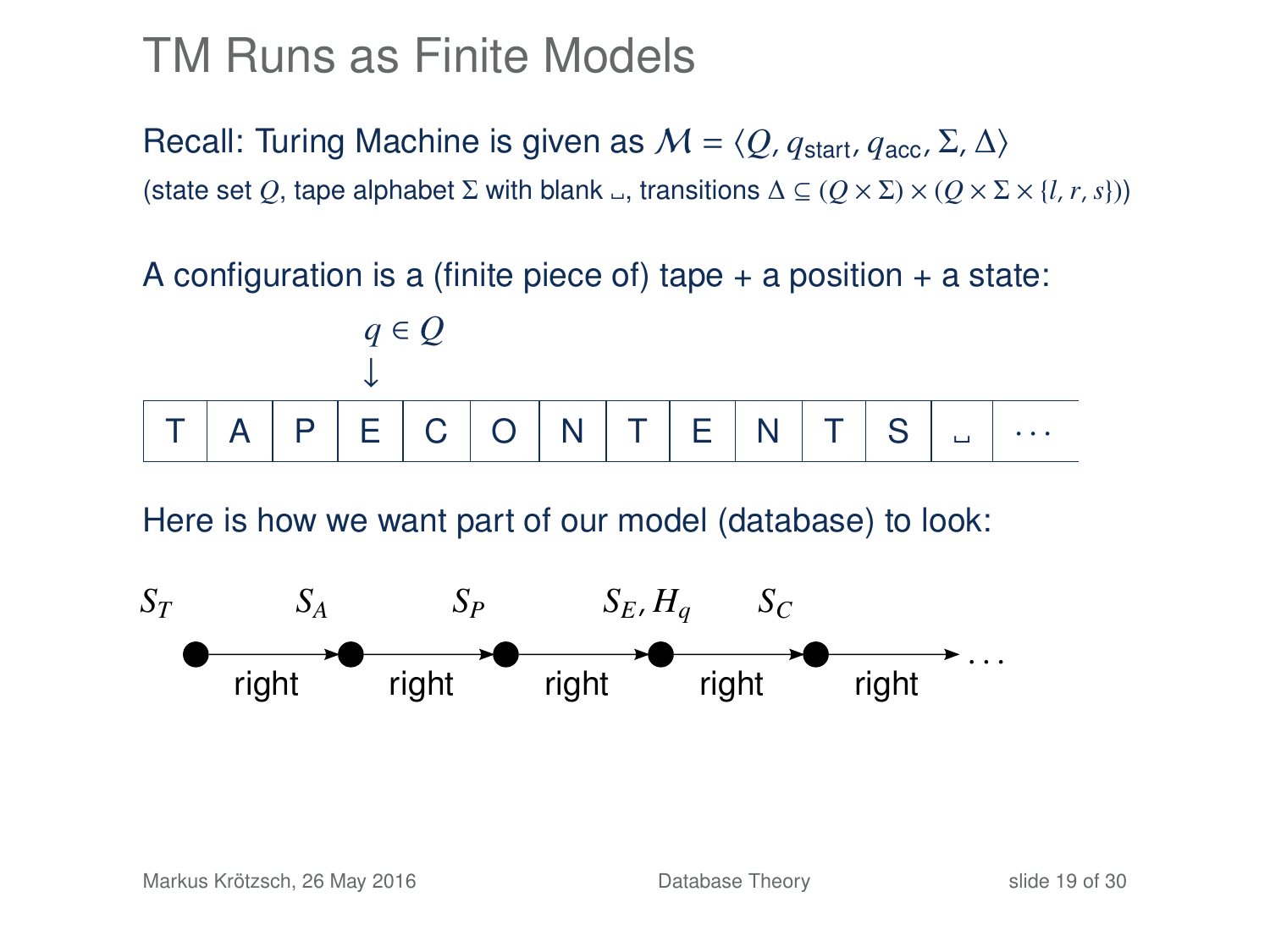### TM Runs as Finite Models

Recall: Turing Machine is given as  $M = \langle O, q_{start}, q_{acc}, \Sigma, \Delta \rangle$ (state set *Q*, tape alphabet  $\Sigma$  with blank  $\Box$ , transitions  $\Delta \subseteq (Q \times \Sigma) \times (Q \times \Sigma \times \{l, r, s\})$ )

A configuration is a (finite piece of) tape  $+$  a position  $+$  a state:



Here is how we want part of our model (database) to look:

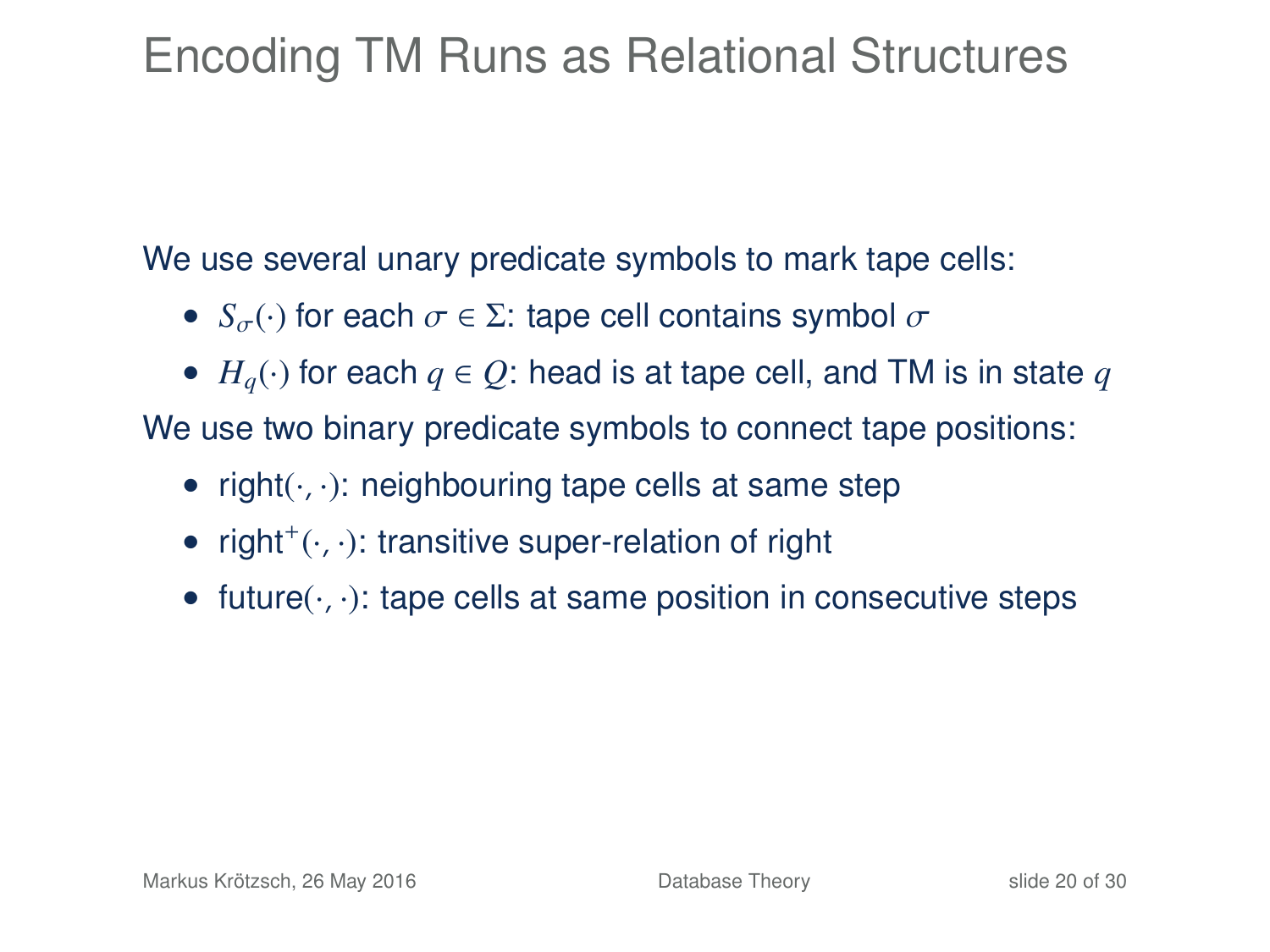# Encoding TM Runs as Relational Structures

We use several unary predicate symbols to mark tape cells:

- $S_{\sigma}(\cdot)$  for each  $\sigma \in \Sigma$ : tape cell contains symbol  $\sigma$
- $H<sub>a</sub>(·)$  for each  $q \in Q$ : head is at tape cell, and TM is in state  $q$

We use two binary predicate symbols to connect tape positions:

- right $(\cdot, \cdot)$ : neighbouring tape cells at same step
- $\bullet$  right<sup>+</sup>( $\cdot$ , $\cdot$ ): transitive super-relation of right
- future $(\cdot, \cdot)$ : tape cells at same position in consecutive steps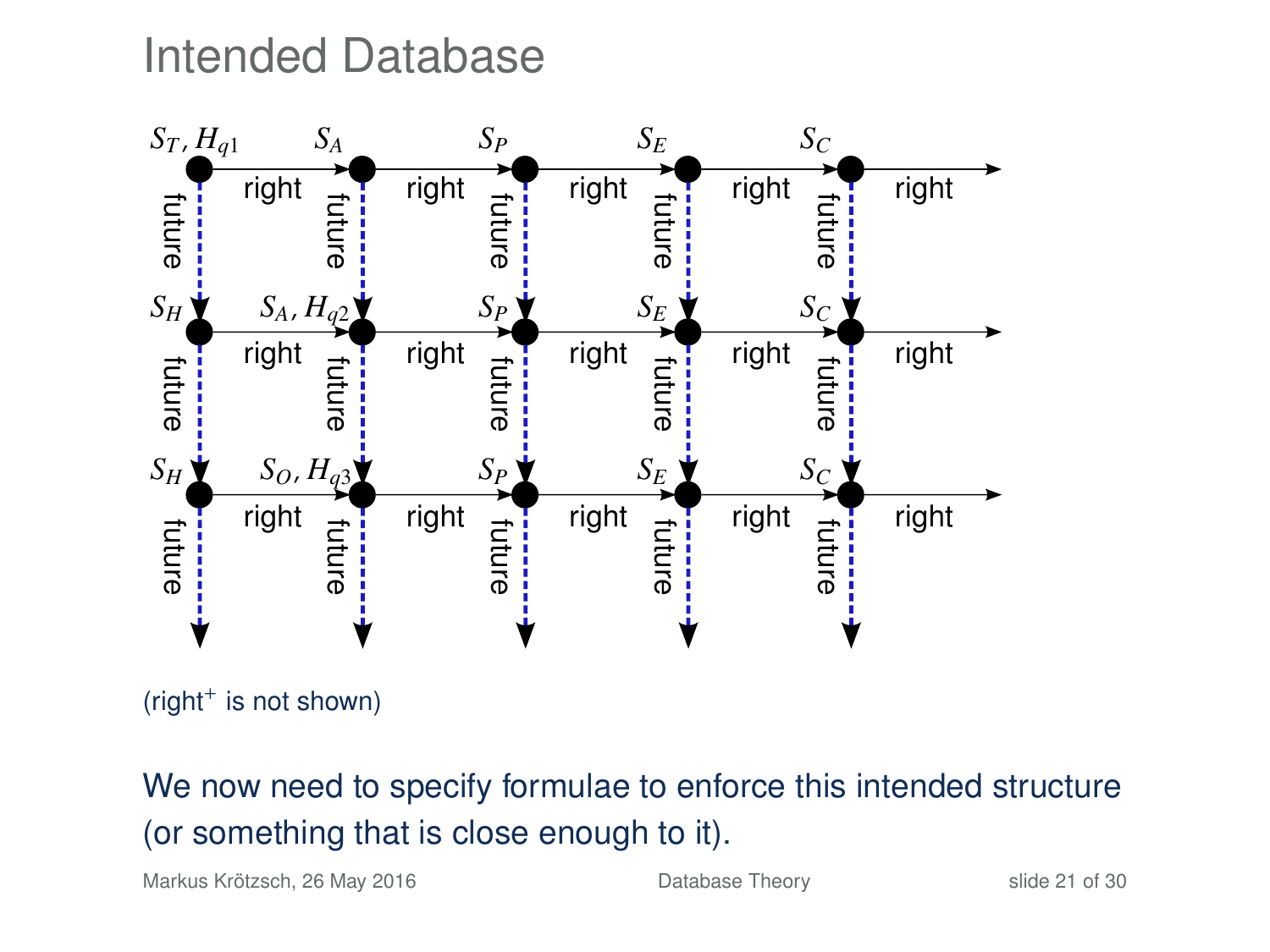### Intended Database



(right<sup>+</sup> is not shown)

#### We now need to specify formulae to enforce this intended structure (or something that is close enough to it).

Markus Krötzsch, 26 May 2016 [Database Theory](#page-0-0) slide 21 of 30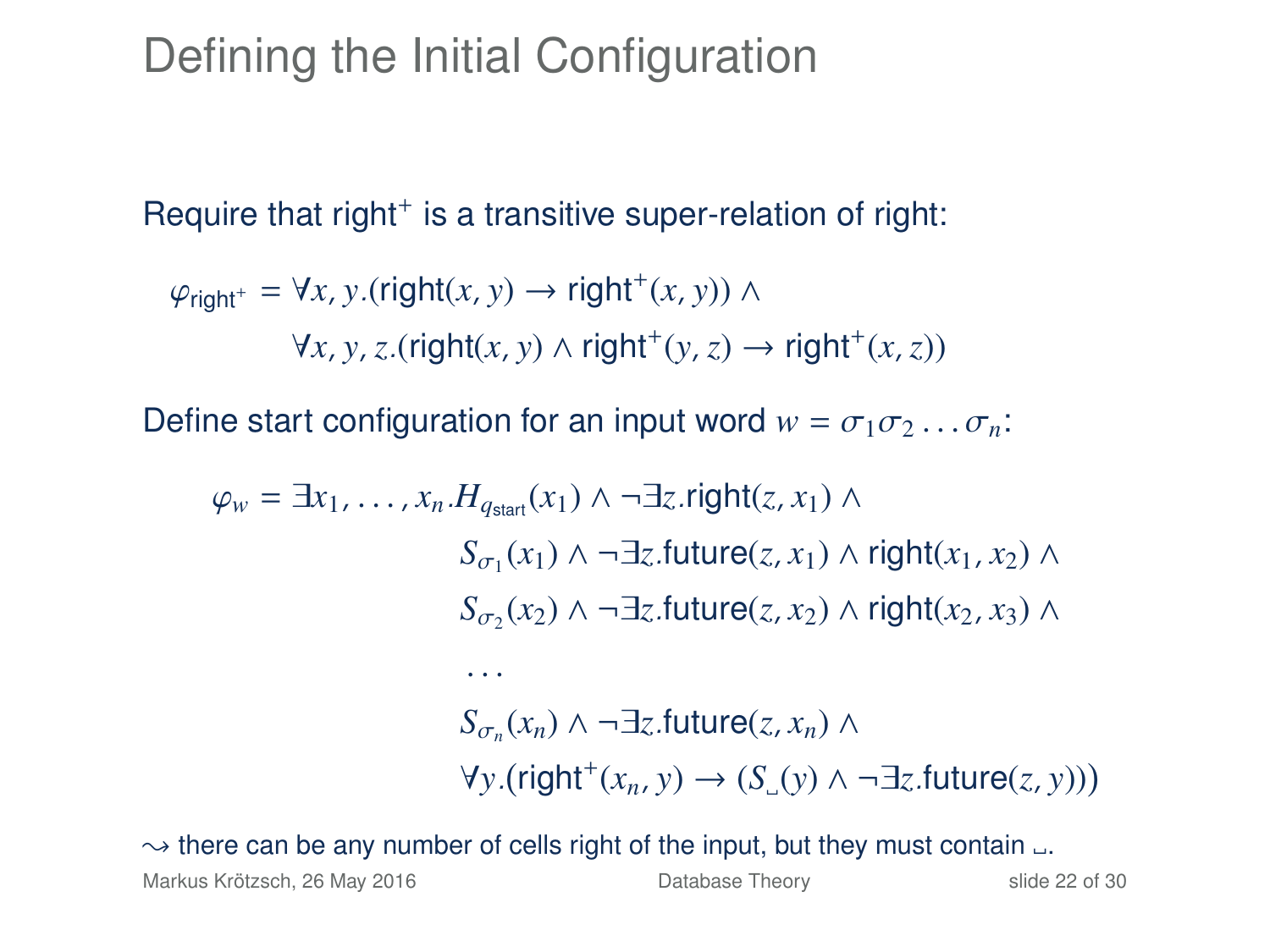### Defining the Initial Configuration

Require that right<sup>+</sup> is a transitive super-relation of right:

$$
\varphi_{\text{right}^+} = \forall x, y. (\text{right}(x, y) \rightarrow \text{right}^+(x, y)) \land
$$

$$
\forall x, y, z. (\text{right}(x, y) \land \text{right}^+(y, z) \rightarrow \text{right}^+(x, z))
$$

Define start configuration for an input word  $w = \sigma_1 \sigma_2 \ldots \sigma_n$ .

$$
\varphi_w = \exists x_1, \dots, x_n. H_{q_{\text{start}}}(x_1) \land \neg \exists z.\text{right}(z, x_1) \land
$$
  
\n
$$
S_{\sigma_1}(x_1) \land \neg \exists z.\text{future}(z, x_1) \land \text{right}(x_1, x_2) \land
$$
  
\n
$$
S_{\sigma_2}(x_2) \land \neg \exists z.\text{future}(z, x_2) \land \text{right}(x_2, x_3) \land
$$
  
\n...  
\n
$$
S_{\sigma_n}(x_n) \land \neg \exists z.\text{future}(z, x_n) \land
$$
  
\n
$$
\forall y.(\text{right}^+(x_n, y) \rightarrow (S_{\cup}(y) \land \neg \exists z.\text{future}(z, y)))
$$

 $\rightarrow$  there can be any number of cells right of the input, but they must contain  $\Box$ .

Markus Krötzsch, 26 May 2016 [Database Theory](#page-0-0) slide 22 of 30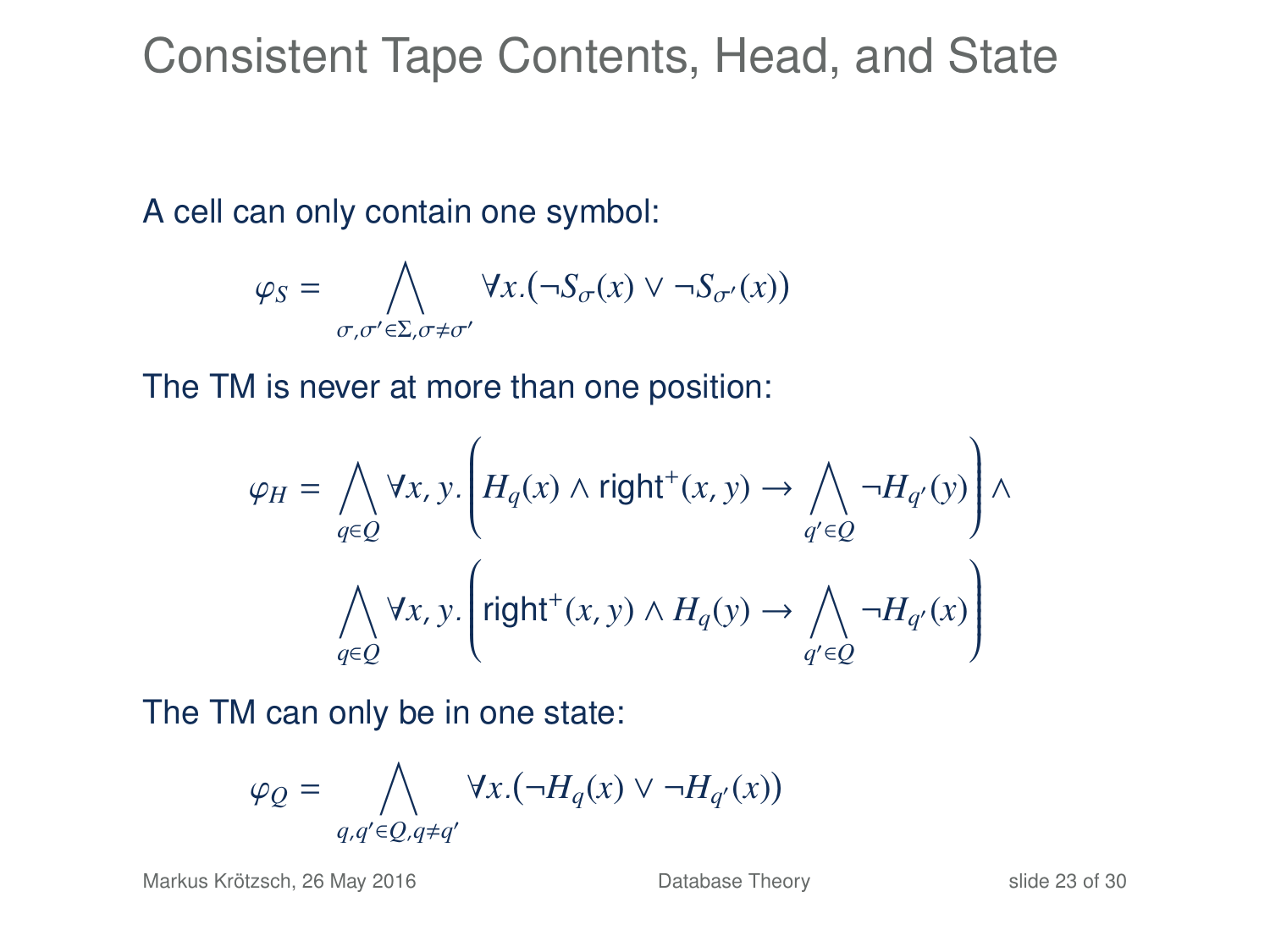Consistent Tape Contents, Head, and State

A cell can only contain one symbol:

$$
\varphi_S = \bigwedge_{\sigma,\sigma' \in \Sigma, \sigma \neq \sigma'} \forall x. (\neg S_{\sigma}(x) \vee \neg S_{\sigma'}(x))
$$

The TM is never at more than one position:

$$
\varphi_H = \bigwedge_{q \in Q} \forall x, y. \left( H_q(x) \land \text{right}^+(x, y) \to \bigwedge_{q' \in Q} \neg H_{q'}(y) \right) \land
$$

$$
\bigwedge_{q \in Q} \forall x, y. \left( \text{right}^+(x, y) \land H_q(y) \to \bigwedge_{q' \in Q} \neg H_{q'}(x) \right)
$$

The TM can only be in one state:

$$
\varphi_{\mathcal{Q}} = \bigwedge_{q,q' \in \mathcal{Q}, q \neq q'} \forall x. (\neg H_q(x) \vee \neg H_{q'}(x))
$$

Markus Krötzsch, 26 May 2016 **[Database Theory](#page-0-0)** Slide 23 of 30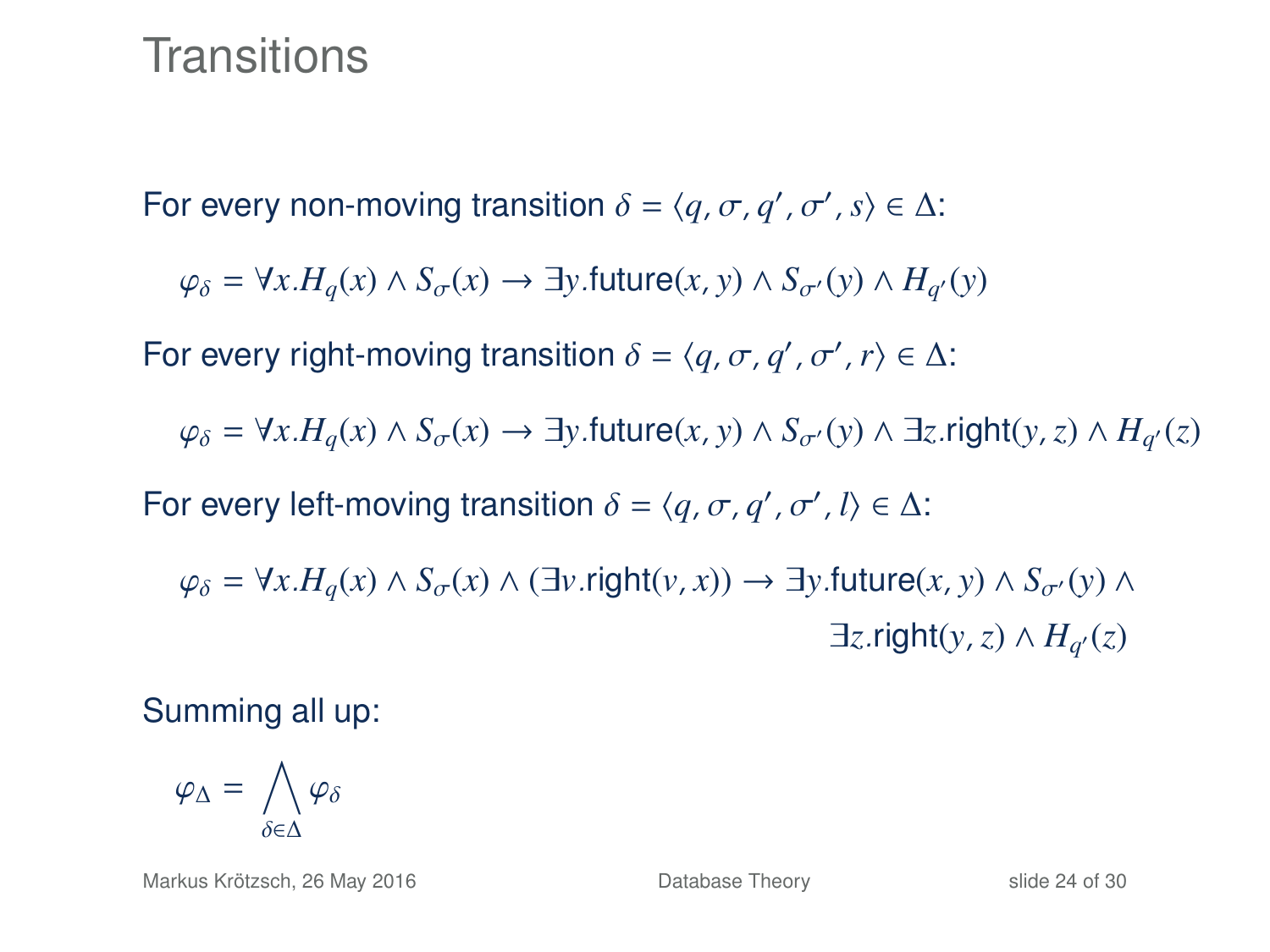### **Transitions**

For every non-moving transition  $\delta = \langle q, \sigma, q', \sigma', s \rangle \in \Delta$ :

 $\varphi_{\delta} = \forall x . H_q(x) \land S_{\sigma}(x) \rightarrow \exists y .$ future $(x, y) \land S_{\sigma}(y) \land H_{q'}(y)$ 

For every right-moving transition  $\delta = \langle q, \sigma, q', \sigma', r \rangle \in \Delta$ :

 $\varphi_{\delta} = \forall x . H_q(x) \land S_{\sigma}(x) \rightarrow \exists y .$ future $(x, y) \land S_{\sigma}(y) \land \exists z .$ right $(y, z) \land H_{q'}(z)$ 

For every left-moving transition  $\delta = \langle q, \sigma, q', \sigma', l \rangle \in \Delta$ :

 $\varphi_{\delta} = \forall x . H_{\alpha}(x) \land S_{\alpha}(x) \land (\exists y . \text{right}(y, x)) \rightarrow \exists y . \text{future}(x, y) \land S_{\alpha'}(y) \land$  $\exists z$ .right(*y*, *z*) ∧  $H_{q'}(z)$ 

Summing all up:

$$
\varphi_{\Delta} = \bigwedge_{\delta \in \Delta} \varphi_{\delta}
$$

Markus Krötzsch, 26 May 2016 **[Database Theory](#page-0-0)** Slide 24 of 30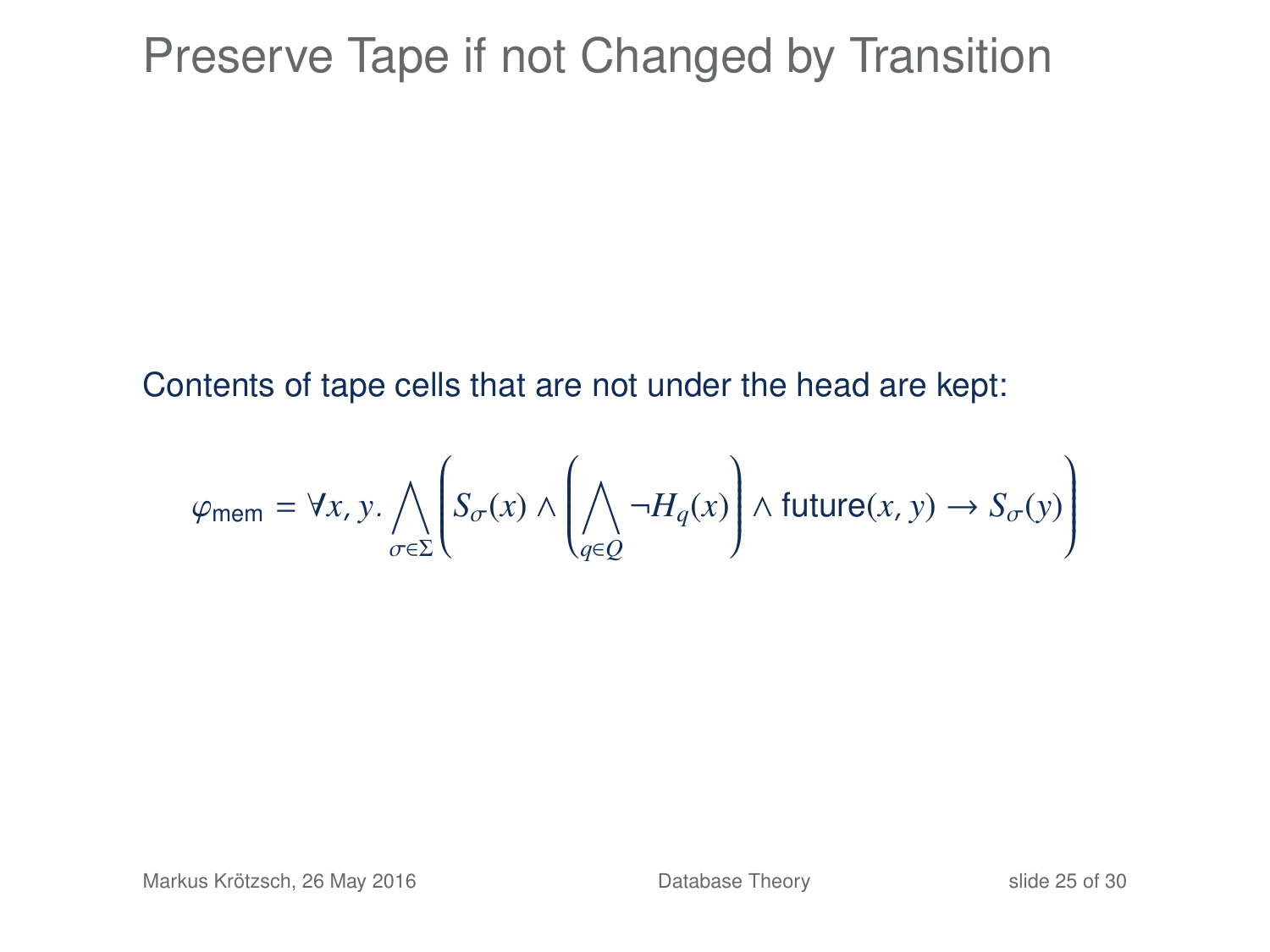### Preserve Tape if not Changed by Transition

Contents of tape cells that are not under the head are kept:

$$
\varphi_{\text{mem}} = \forall x, y \ldotp \bigwedge_{\sigma \in \Sigma} \left( S_{\sigma}(x) \land \left( \bigwedge_{q \in Q} \neg H_q(x) \right) \land \text{future}(x, y) \rightarrow S_{\sigma}(y) \right)
$$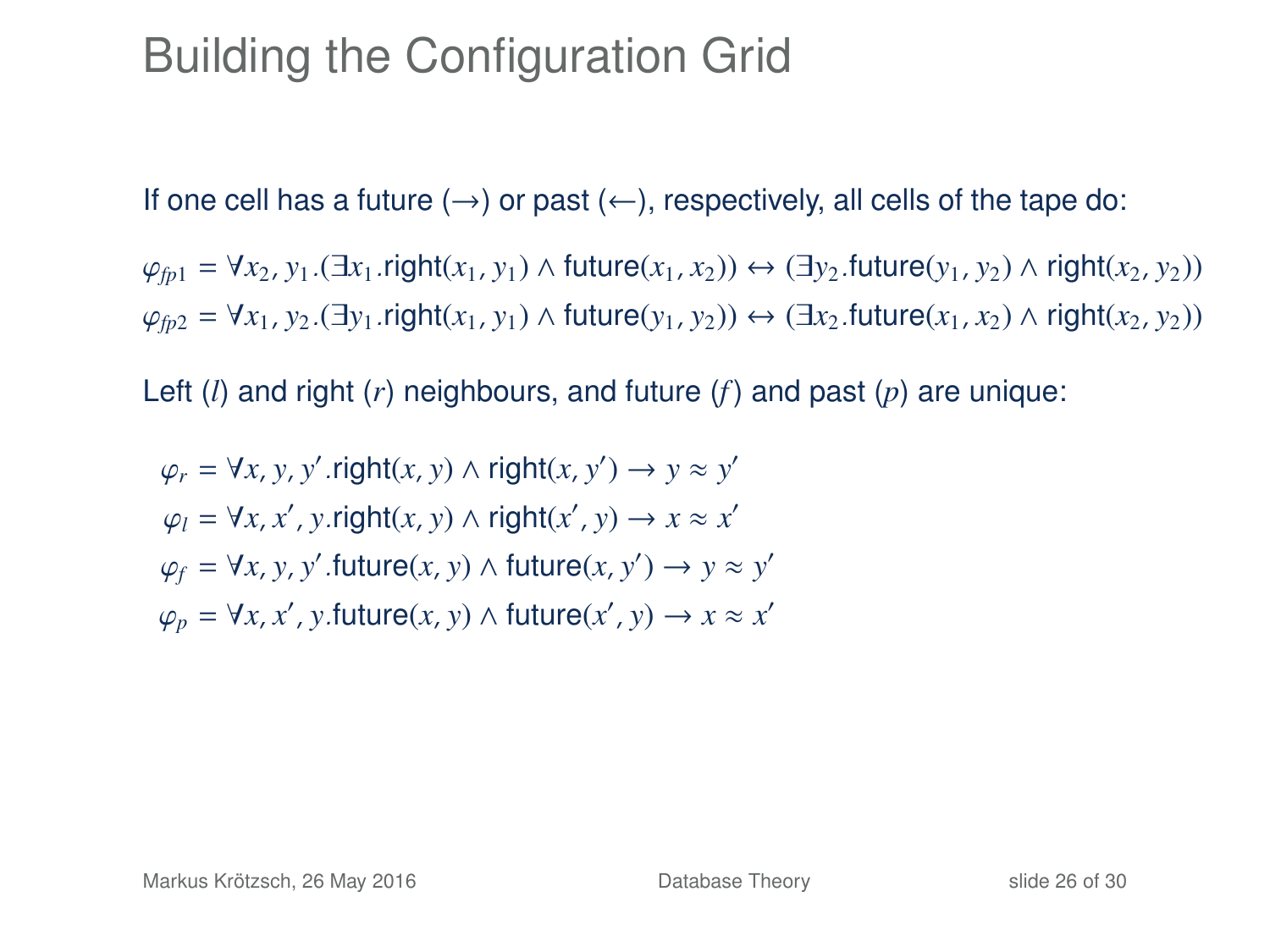### Building the Configuration Grid

If one cell has a future ( $\rightarrow$ ) or past ( $\leftarrow$ ), respectively, all cells of the tape do:

 $\varphi_{fp1} = \forall x_2, y_1.(\exists x_1 \text{.right}(x_1, y_1) \land \text{future}(x_1, x_2)) \leftrightarrow (\exists y_2 \text{.future}(y_1, y_2) \land \text{right}(x_2, y_2))$  $\varphi_{fp2} = \forall x_1, y_2$ . (∃*y*<sub>1</sub>. right(*x*<sub>1</sub>, *y*<sub>1</sub>) ∧ future(*y*<sub>1</sub>, *y*<sub>2</sub>)) ↔ (∃*x*<sub>2</sub>.future(*x*<sub>1</sub>, *x*<sub>2</sub>) ∧ right(*x*<sub>2</sub>, *y*<sub>2</sub>))

Left (*l*) and right (*r*) neighbours, and future (*f*) and past (*p*) are unique:

$$
\varphi_r = \forall x, y, y' \text{. right}(x, y) \land \text{right}(x, y') \rightarrow y \approx y'
$$

$$
\varphi_l = \forall x, x', y \text{. right}(x, y) \land \text{right}(x', y) \rightarrow x \approx x'
$$

$$
\varphi_f = \forall x, y, y' \text{. future}(x, y) \land \text{future}(x, y') \rightarrow y \approx y'
$$

$$
\varphi_p = \forall x, x', y \text{. future}(x, y) \land \text{future}(x', y) \rightarrow x \approx x'
$$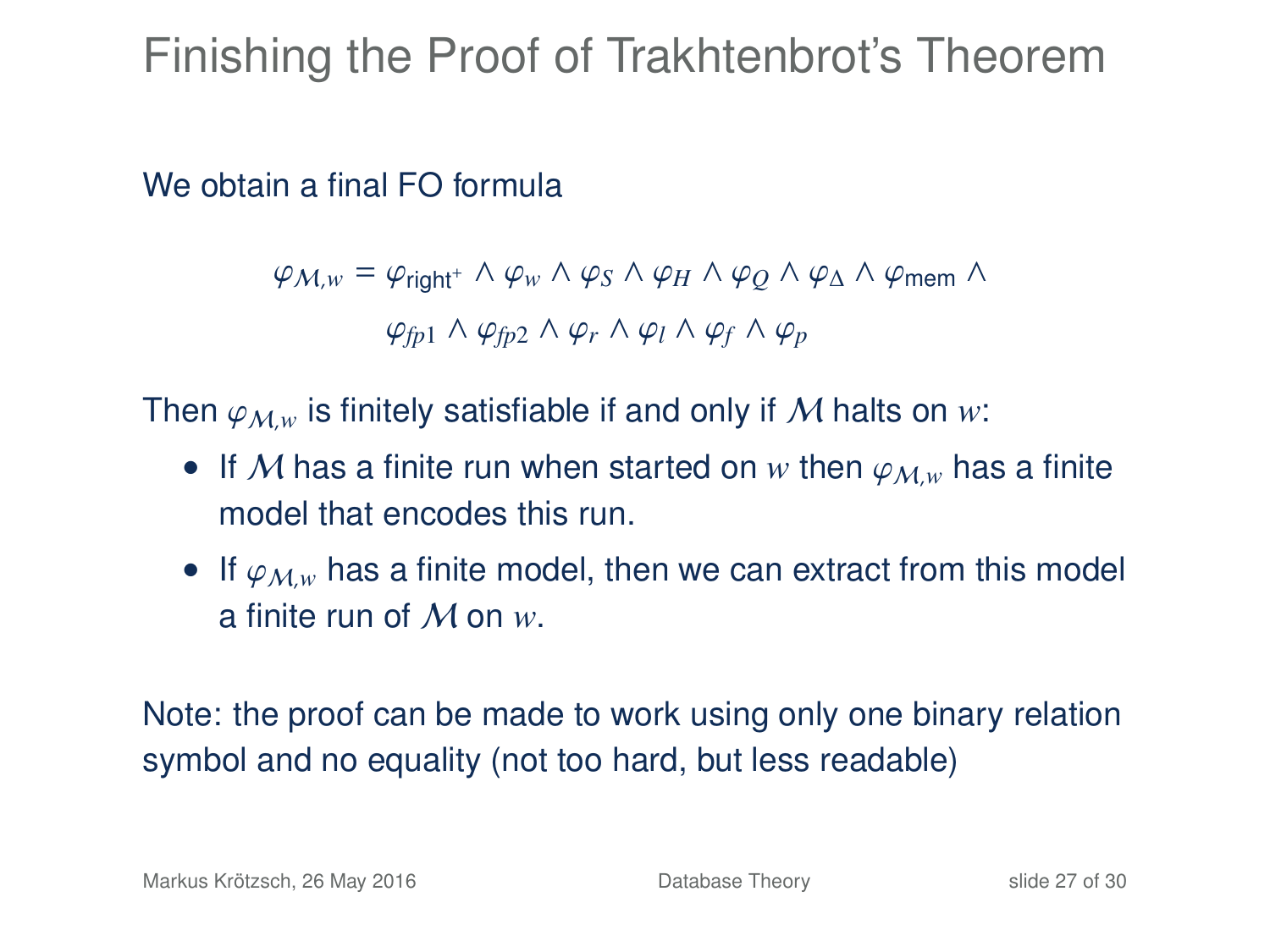# Finishing the Proof of Trakhtenbrot's Theorem

We obtain a final FO formula

 $\varphi_{M,w} = \varphi_{\text{right}^+} \wedge \varphi_w \wedge \varphi_S \wedge \varphi_H \wedge \varphi_O \wedge \varphi_A \wedge \varphi_{\text{mem}} \wedge$  $\varphi$ <sub>*fp*1</sub> ∧  $\varphi$ <sub>*fp*2</sub> ∧  $\varphi$ <sub>*r*</sub> ∧  $\varphi$ <sub>*l*</sub> ∧  $\varphi$ <sub>*f*</sub> ∧  $\varphi$ <sub>*p*</sub>

Then  $\varphi_{M,w}$  is finitely satisfiable if and only if M halts on *w*:

- If M has a finite run when started on w then  $\varphi_{M,w}$  has a finite model that encodes this run.
- If  $\varphi_{M,w}$  has a finite model, then we can extract from this model a finite run of M on *w*.

Note: the proof can be made to work using only one binary relation symbol and no equality (not too hard, but less readable)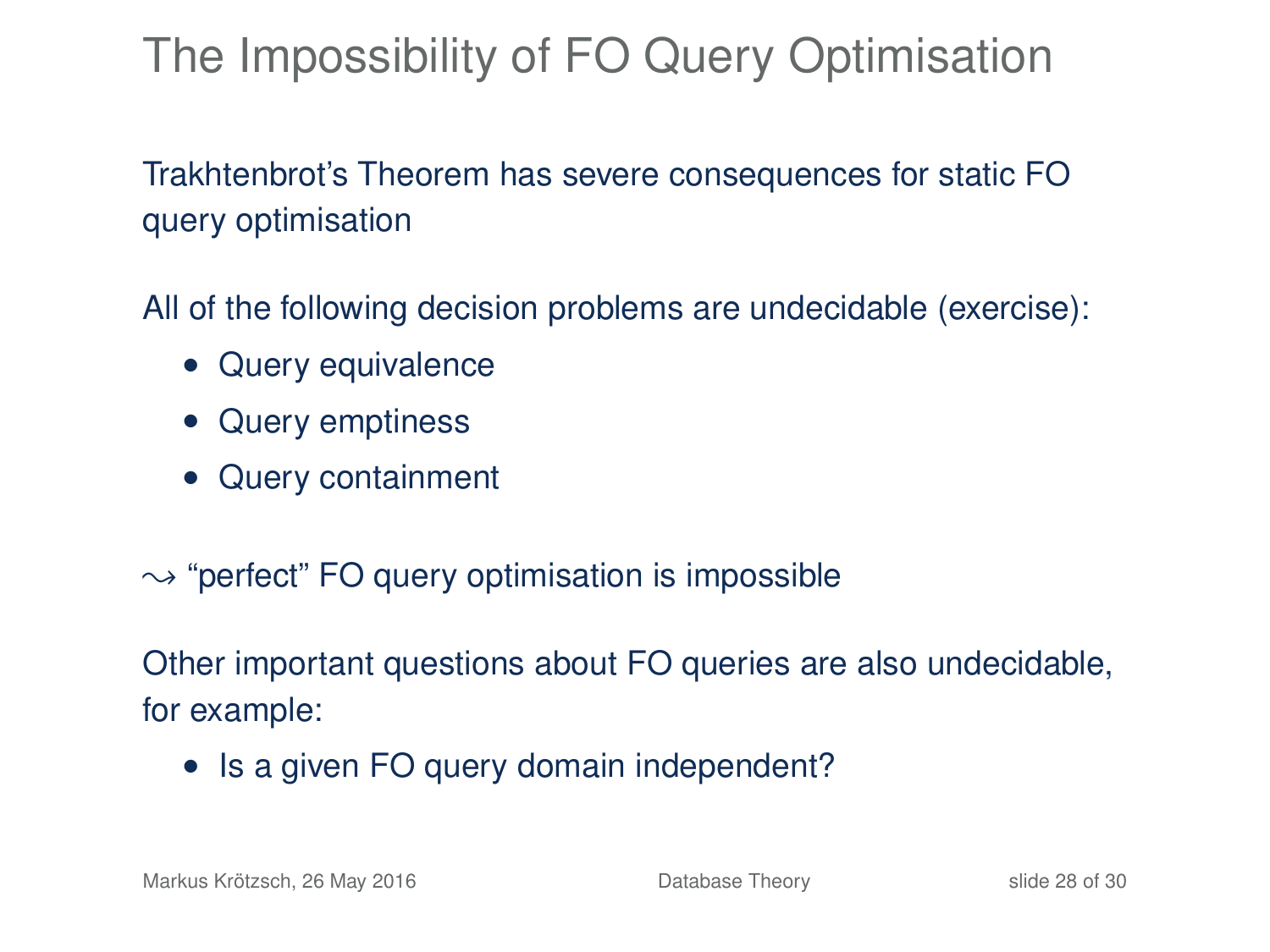# The Impossibility of FO Query Optimisation

Trakhtenbrot's Theorem has severe consequences for static FO query optimisation

All of the following decision problems are undecidable (exercise):

- Query equivalence
- Query emptiness
- Query containment
- $\rightarrow$  "perfect" FO query optimisation is impossible

Other important questions about FO queries are also undecidable, for example:

• Is a given FO query domain independent?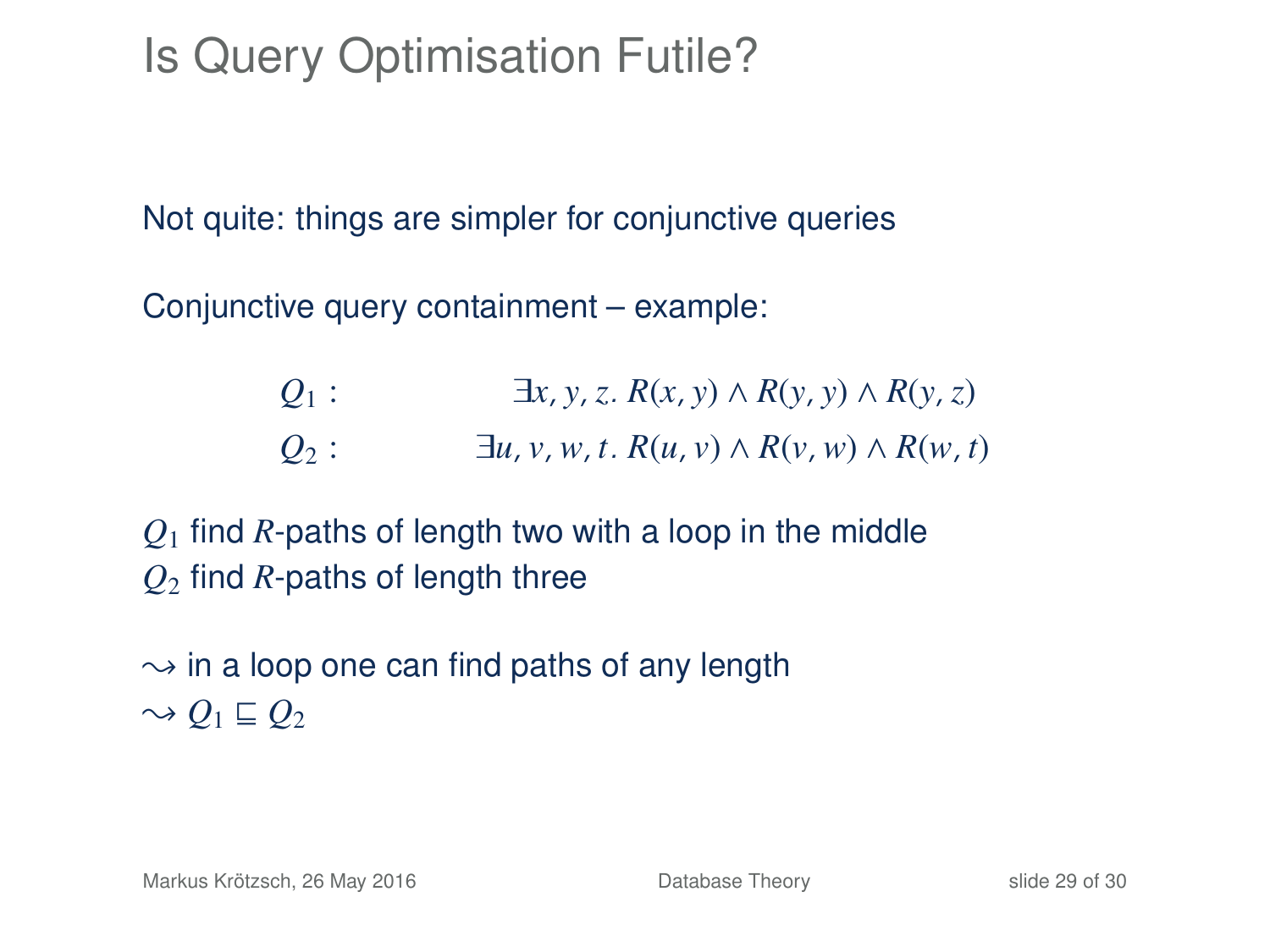# Is Query Optimisation Futile?

Not quite: things are simpler for conjunctive queries

Conjunctive query containment – example:

| $Q_1$ : | $\exists x, y, z. R(x, y) \wedge R(y, y) \wedge R(y, z)$    |
|---------|-------------------------------------------------------------|
| $Q_2$ : | $\exists u, v, w, t. R(u, v) \wedge R(v, w) \wedge R(w, t)$ |

*Q*<sup>1</sup> find *R*-paths of length two with a loop in the middle *Q*<sup>2</sup> find *R*-paths of length three

 $\rightarrow$  in a loop one can find paths of any length  $\sim Q_1 \sqsubseteq Q_2$